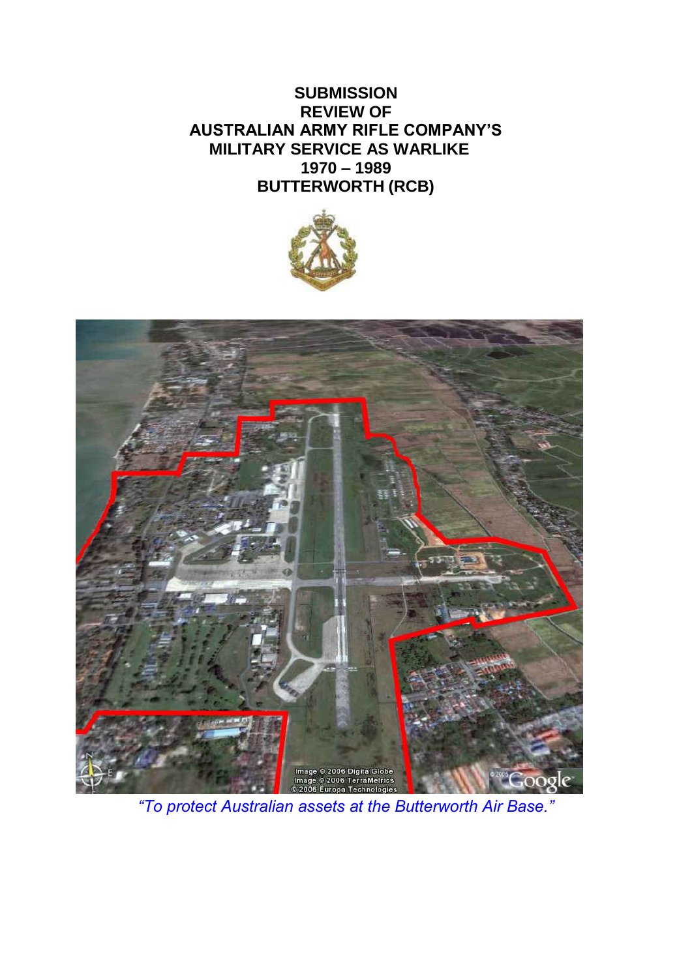# **SUBMISSION REVIEW OF AUSTRALIAN ARMY RIFLE COMPANY'S MILITARY SERVICE AS WARLIKE 1970 – 1989 BUTTERWORTH (RCB)**





*"To protect Australian assets at the Butterworth Air Base."*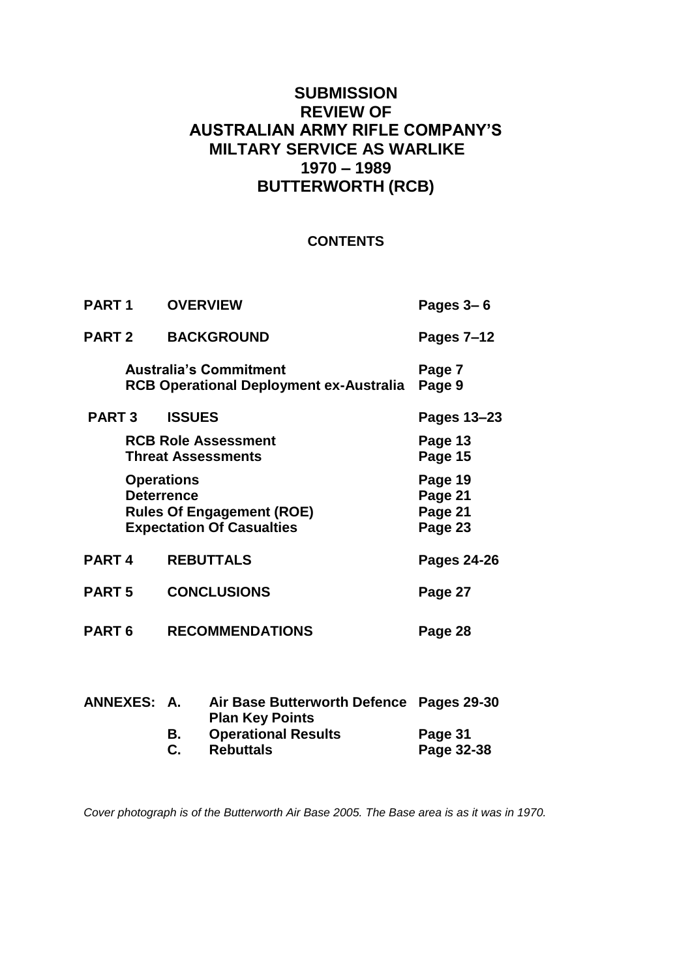# **SUBMISSION REVIEW OF AUSTRALIAN ARMY RIFLE COMPANY'S MILTARY SERVICE AS WARLIKE 1970 – 1989 BUTTERWORTH (RCB)**

## **CONTENTS**

| PART <sub>1</sub> |                                        | <b>OVERVIEW</b> |                                                                                 | Pages $3-6$                              |
|-------------------|----------------------------------------|-----------------|---------------------------------------------------------------------------------|------------------------------------------|
| <b>PART 2</b>     |                                        |                 | <b>BACKGROUND</b>                                                               | Pages 7-12                               |
|                   |                                        |                 | <b>Australia's Commitment</b><br><b>RCB Operational Deployment ex-Australia</b> | Page 7<br>Page 9                         |
| <b>PART 3</b>     |                                        | <b>ISSUES</b>   |                                                                                 | Pages 13-23                              |
|                   |                                        |                 | <b>RCB Role Assessment</b><br><b>Threat Assessments</b>                         | Page 13<br>Page 15                       |
|                   | <b>Operations</b><br><b>Deterrence</b> |                 | <b>Rules Of Engagement (ROE)</b><br><b>Expectation Of Casualties</b>            | Page 19<br>Page 21<br>Page 21<br>Page 23 |
| PART <sub>4</sub> |                                        |                 | <b>REBUTTALS</b>                                                                | <b>Pages 24-26</b>                       |
| <b>PART 5</b>     |                                        |                 | <b>CONCLUSIONS</b>                                                              | Page 27                                  |
| PART <sub>6</sub> |                                        |                 | <b>RECOMMENDATIONS</b>                                                          | Page 28                                  |
|                   | ANNEXES: A.                            |                 | <b>Air Base Butterworth Defence</b><br><b>Plan Key Points</b>                   | Pages 29-30                              |
|                   |                                        | В.<br>C.        | <b>Operational Results</b><br><b>Rebuttals</b>                                  | Page 31<br>Page 32-38                    |

*Cover photograph is of the Butterworth Air Base 2005. The Base area is as it was in 1970.*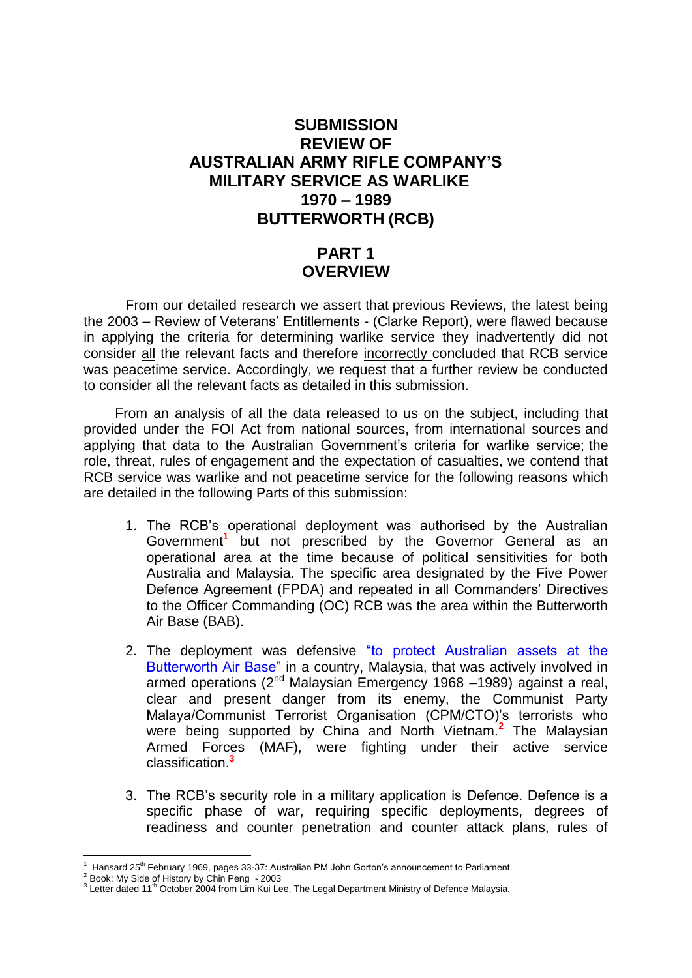# **SUBMISSION REVIEW OF AUSTRALIAN ARMY RIFLE COMPANY'S MILITARY SERVICE AS WARLIKE 1970 – 1989 BUTTERWORTH (RCB)**

# **PART 1 OVERVIEW**

From our detailed research we assert that previous Reviews, the latest being the 2003 – Review of Veterans' Entitlements - (Clarke Report), were flawed because in applying the criteria for determining warlike service they inadvertently did not consider all the relevant facts and therefore incorrectly concluded that RCB service was peacetime service. Accordingly, we request that a further review be conducted to consider all the relevant facts as detailed in this submission.

From an analysis of all the data released to us on the subject, including that provided under the FOI Act from national sources, from international sources and applying that data to the Australian Government's criteria for warlike service; the role, threat, rules of engagement and the expectation of casualties, we contend that RCB service was warlike and not peacetime service for the following reasons which are detailed in the following Parts of this submission:

- 1. The RCB's operational deployment was authorised by the Australian Government**<sup>1</sup>** but not prescribed by the Governor General as an operational area at the time because of political sensitivities for both Australia and Malaysia. The specific area designated by the Five Power Defence Agreement (FPDA) and repeated in all Commanders' Directives to the Officer Commanding (OC) RCB was the area within the Butterworth Air Base (BAB).
- 2. The deployment was defensive "to protect Australian assets at the Butterworth Air Base" in a country, Malaysia, that was actively involved in armed operations (2nd Malaysian Emergency 1968 –1989) against a real, clear and present danger from its enemy, the Communist Party Malaya/Communist Terrorist Organisation (CPM/CTO)'s terrorists who were being supported by China and North Vietnam.**<sup>2</sup>** The Malaysian Armed Forces (MAF), were fighting under their active service classification.**<sup>3</sup>**
- 3. The RCB's security role in a military application is Defence. Defence is a specific phase of war, requiring specific deployments, degrees of readiness and counter penetration and counter attack plans, rules of

<sup>1</sup> Hansard 25<sup>th</sup> February 1969, pages 33-37: Australian PM John Gorton's announcement to Parliament.

<sup>2</sup> Book: My Side of History by Chin Peng - 2003

 $^3$  Letter dated 11<sup>th</sup> October 2004 from Lim Kui Lee, The Legal Department Ministry of Defence Malaysia.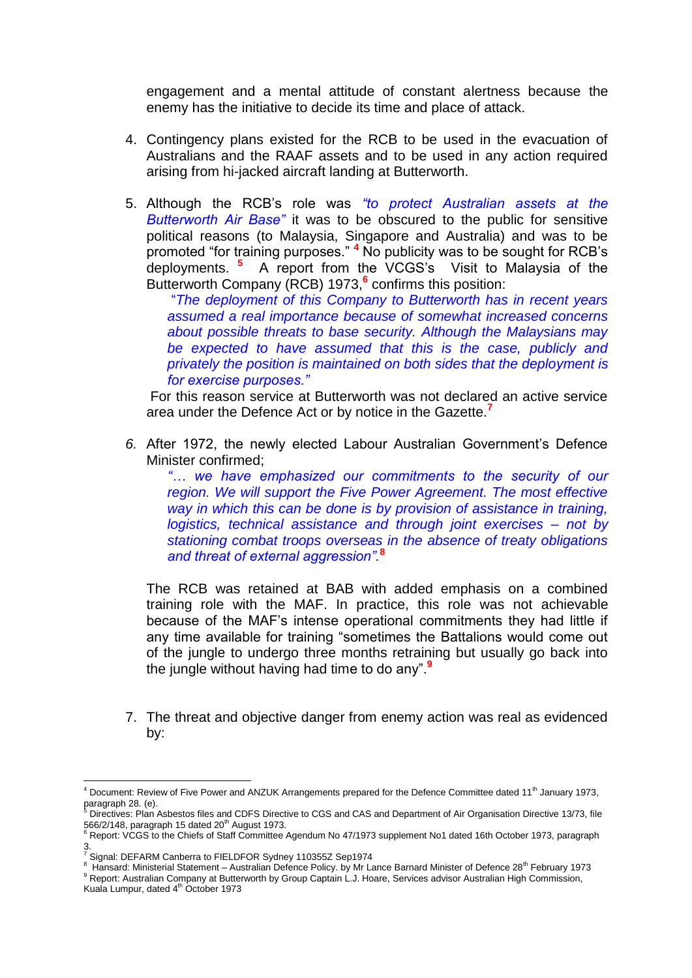engagement and a mental attitude of constant alertness because the enemy has the initiative to decide its time and place of attack.

- 4. Contingency plans existed for the RCB to be used in the evacuation of Australians and the RAAF assets and to be used in any action required arising from hi-jacked aircraft landing at Butterworth.
- 5. Although the RCB's role was *"to protect Australian assets at the Butterworth Air Base"* it was to be obscured to the public for sensitive political reasons (to Malaysia, Singapore and Australia) and was to be promoted "for training purposes." **<sup>4</sup>** No publicity was to be sought for RCB's deployments. **<sup>5</sup>** A report from the VCGS's Visit to Malaysia of the Butterworth Company (RCB) 1973,**<sup>6</sup>** confirms this position:

"*The deployment of this Company to Butterworth has in recent years assumed a real importance because of somewhat increased concerns about possible threats to base security. Although the Malaysians may be expected to have assumed that this is the case, publicly and privately the position is maintained on both sides that the deployment is for exercise purposes."*

For this reason service at Butterworth was not declared an active service area under the Defence Act or by notice in the Gazette.**<sup>7</sup>**

*6.* After 1972, the newly elected Labour Australian Government's Defence Minister confirmed;

*"… we have emphasized our commitments to the security of our region. We will support the Five Power Agreement. The most effective way in which this can be done is by provision of assistance in training, logistics, technical assistance and through joint exercises – not by stationing combat troops overseas in the absence of treaty obligations and threat of external aggression".***<sup>8</sup>**

The RCB was retained at BAB with added emphasis on a combined training role with the MAF. In practice, this role was not achievable because of the MAF's intense operational commitments they had little if any time available for training "sometimes the Battalions would come out of the jungle to undergo three months retraining but usually go back into the jungle without having had time to do any".**<sup>9</sup>**

7. The threat and objective danger from enemy action was real as evidenced by:

<sup>1</sup> <sup>4</sup> Document: Review of Five Power and ANZUK Arrangements prepared for the Defence Committee dated 11<sup>th</sup> January 1973, paragraph 28. (e).

<sup>5</sup> Directives: Plan Asbestos files and CDFS Directive to CGS and CAS and Department of Air Organisation Directive 13/73, file 566/2/148, paragraph 15 dated  $20<sup>th</sup>$  August 1973.

<sup>&</sup>lt;sup>6</sup> Report: VCGS to the Chiefs of Staff Committee Agendum No 47/1973 supplement No1 dated 16th October 1973, paragraph

<sup>3.&</sup>lt;br><sup>7</sup> Signal: DEFARM Canberra to FIELDFOR Sydney 110355Z Sep1974<br><sup>8</sup>. Happerd: Ministerial Statement - Australian Defense Reliev, by Mr.L

Hansard: Ministerial Statement – Australian Defence Policy. by Mr Lance Barnard Minister of Defence 28<sup>th</sup> February 1973

<sup>9</sup> Report: Australian Company at Butterworth by Group Captain L.J. Hoare, Services advisor Australian High Commission,

Kuala Lumpur, dated 4<sup>th</sup> October 1973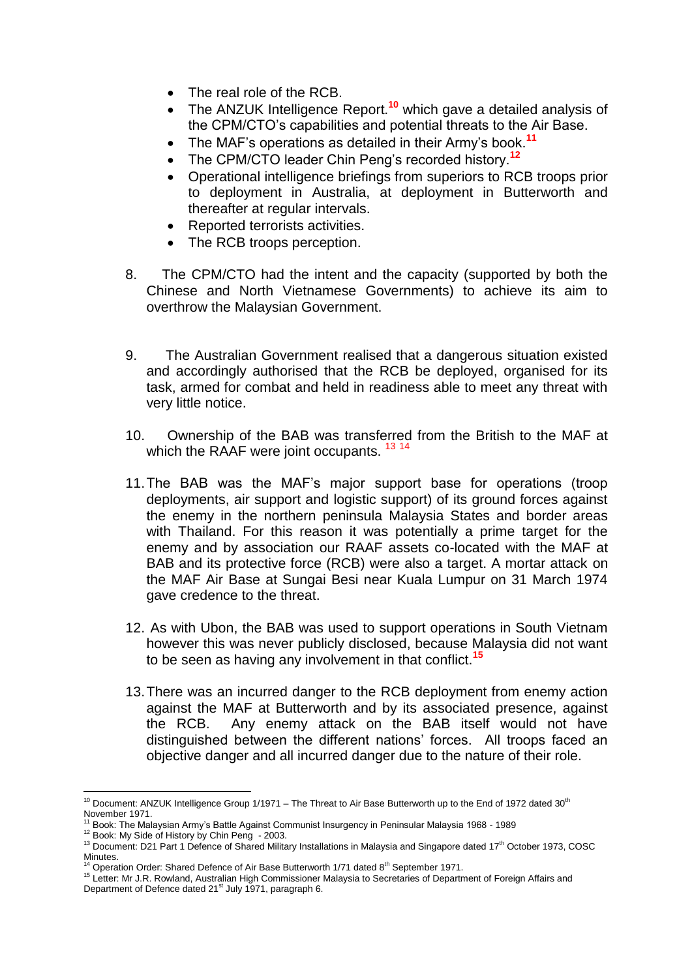- The real role of the RCB.
- The ANZUK Intelligence Report.**<sup>10</sup>** which gave a detailed analysis of the CPM/CTO's capabilities and potential threats to the Air Base.
- The MAF's operations as detailed in their Army's book.**<sup>11</sup>**
- The CPM/CTO leader Chin Peng's recorded history.**<sup>12</sup>**
- Operational intelligence briefings from superiors to RCB troops prior to deployment in Australia, at deployment in Butterworth and thereafter at regular intervals.
- Reported terrorists activities.
- The RCB troops perception.
- 8. The CPM/CTO had the intent and the capacity (supported by both the Chinese and North Vietnamese Governments) to achieve its aim to overthrow the Malaysian Government.
- 9. The Australian Government realised that a dangerous situation existed and accordingly authorised that the RCB be deployed, organised for its task, armed for combat and held in readiness able to meet any threat with very little notice.
- 10. Ownership of the BAB was transferred from the British to the MAF at which the RAAF were joint occupants.<sup>13 14</sup>
- 11.The BAB was the MAF's major support base for operations (troop deployments, air support and logistic support) of its ground forces against the enemy in the northern peninsula Malaysia States and border areas with Thailand. For this reason it was potentially a prime target for the enemy and by association our RAAF assets co-located with the MAF at BAB and its protective force (RCB) were also a target. A mortar attack on the MAF Air Base at Sungai Besi near Kuala Lumpur on 31 March 1974 gave credence to the threat.
- 12. As with Ubon, the BAB was used to support operations in South Vietnam however this was never publicly disclosed, because Malaysia did not want to be seen as having any involvement in that conflict.**<sup>15</sup>**
- 13.There was an incurred danger to the RCB deployment from enemy action against the MAF at Butterworth and by its associated presence, against the RCB. Any enemy attack on the BAB itself would not have distinguished between the different nations' forces. All troops faced an objective danger and all incurred danger due to the nature of their role.

<sup>1</sup> <sup>10</sup> Document: ANZUK Intelligence Group 1/1971 – The Threat to Air Base Butterworth up to the End of 1972 dated 30<sup>th</sup> November 1971.

<sup>11</sup> Book: The Malaysian Army's Battle Against Communist Insurgency in Peninsular Malaysia 1968 - 1989

<sup>12</sup> Book: My Side of History by Chin Peng - 2003.

<sup>13</sup> Document: D21 Part 1 Defence of Shared Military Installations in Malaysia and Singapore dated 17th October 1973, COSC Minutes.

 $4$  Operation Order: Shared Defence of Air Base Butterworth 1/71 dated  $8<sup>th</sup>$  September 1971.

<sup>15</sup> Letter: Mr J.R. Rowland, Australian High Commissioner Malaysia to Secretaries of Department of Foreign Affairs and Department of Defence dated 21<sup>st</sup> July 1971, paragraph 6.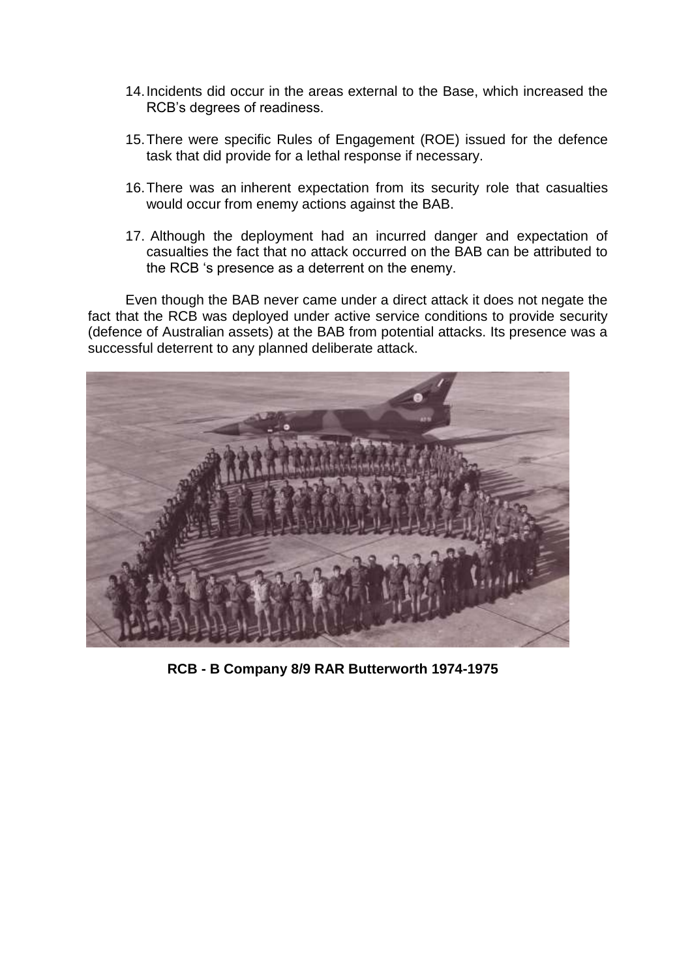- 14.Incidents did occur in the areas external to the Base, which increased the RCB's degrees of readiness.
- 15.There were specific Rules of Engagement (ROE) issued for the defence task that did provide for a lethal response if necessary.
- 16.There was an inherent expectation from its security role that casualties would occur from enemy actions against the BAB.
- 17. Although the deployment had an incurred danger and expectation of casualties the fact that no attack occurred on the BAB can be attributed to the RCB 's presence as a deterrent on the enemy.

Even though the BAB never came under a direct attack it does not negate the fact that the RCB was deployed under active service conditions to provide security (defence of Australian assets) at the BAB from potential attacks. Its presence was a successful deterrent to any planned deliberate attack.



**RCB - B Company 8/9 RAR Butterworth 1974-1975**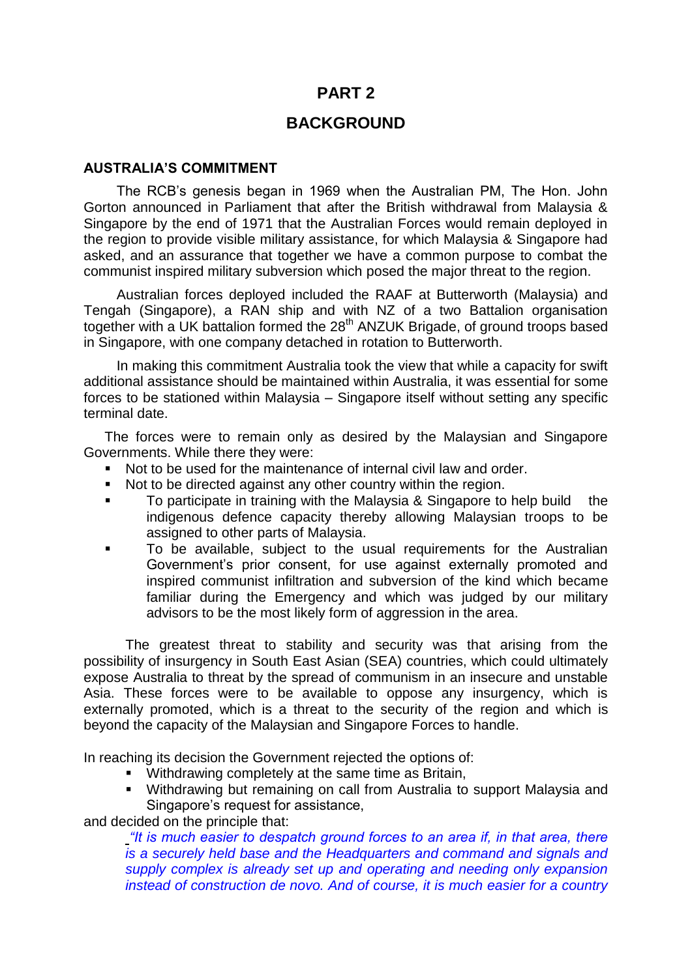# **PART 2**

## **BACKGROUND**

#### **AUSTRALIA'S COMMITMENT**

The RCB's genesis began in 1969 when the Australian PM, The Hon. John Gorton announced in Parliament that after the British withdrawal from Malaysia & Singapore by the end of 1971 that the Australian Forces would remain deployed in the region to provide visible military assistance, for which Malaysia & Singapore had asked, and an assurance that together we have a common purpose to combat the communist inspired military subversion which posed the major threat to the region.

Australian forces deployed included the RAAF at Butterworth (Malaysia) and Tengah (Singapore), a RAN ship and with NZ of a two Battalion organisation together with a UK battalion formed the 28<sup>th</sup> ANZUK Brigade, of ground troops based in Singapore, with one company detached in rotation to Butterworth.

In making this commitment Australia took the view that while a capacity for swift additional assistance should be maintained within Australia, it was essential for some forces to be stationed within Malaysia – Singapore itself without setting any specific terminal date.

The forces were to remain only as desired by the Malaysian and Singapore Governments. While there they were:

- Not to be used for the maintenance of internal civil law and order.
- Not to be directed against any other country within the region.
- **To participate in training with the Malaysia & Singapore to help build** the indigenous defence capacity thereby allowing Malaysian troops to be assigned to other parts of Malaysia.
- To be available, subject to the usual requirements for the Australian Government's prior consent, for use against externally promoted and inspired communist infiltration and subversion of the kind which became familiar during the Emergency and which was judged by our military advisors to be the most likely form of aggression in the area.

The greatest threat to stability and security was that arising from the possibility of insurgency in South East Asian (SEA) countries, which could ultimately expose Australia to threat by the spread of communism in an insecure and unstable Asia. These forces were to be available to oppose any insurgency, which is externally promoted, which is a threat to the security of the region and which is beyond the capacity of the Malaysian and Singapore Forces to handle.

In reaching its decision the Government rejected the options of:

- Withdrawing completely at the same time as Britain,
- Withdrawing but remaining on call from Australia to support Malaysia and Singapore's request for assistance,

and decided on the principle that:

*"It is much easier to despatch ground forces to an area if, in that area, there is a securely held base and the Headquarters and command and signals and supply complex is already set up and operating and needing only expansion instead of construction de novo. And of course, it is much easier for a country*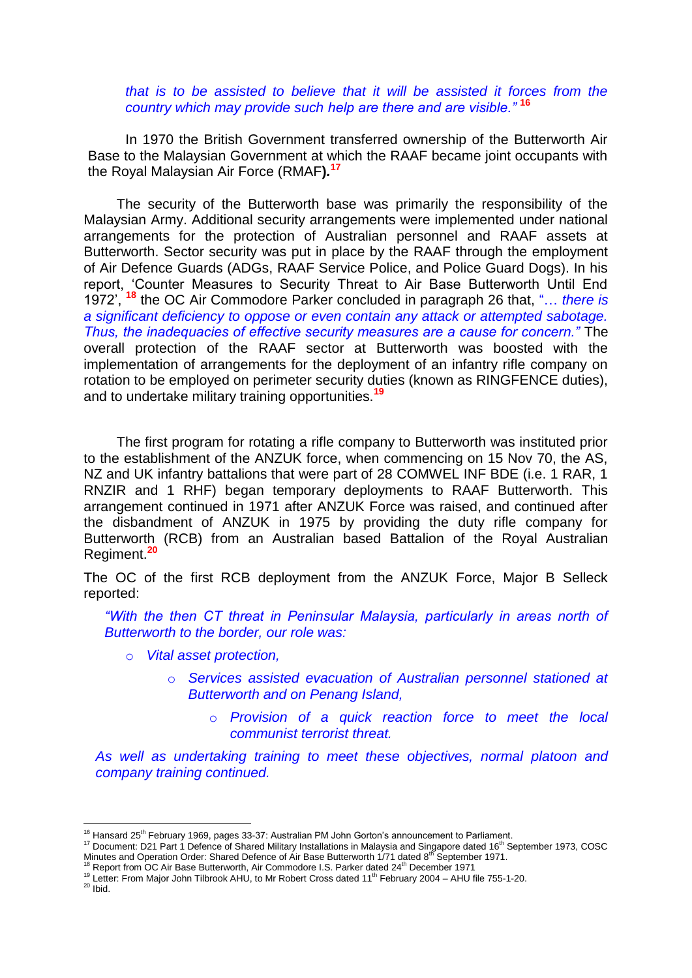#### *that is to be assisted to believe that it will be assisted it forces from the country which may provide such help are there and are visible."* **<sup>16</sup>**

In 1970 the British Government transferred ownership of the Butterworth Air Base to the Malaysian Government at which the RAAF became joint occupants with the Royal Malaysian Air Force (RMAF**)***.* **17**

The security of the Butterworth base was primarily the responsibility of the Malaysian Army. Additional security arrangements were implemented under national arrangements for the protection of Australian personnel and RAAF assets at Butterworth. Sector security was put in place by the RAAF through the employment of Air Defence Guards (ADGs, RAAF Service Police, and Police Guard Dogs). In his report, 'Counter Measures to Security Threat to Air Base Butterworth Until End 1972', **<sup>18</sup>** the OC Air Commodore Parker concluded in paragraph 26 that, "… *there is a significant deficiency to oppose or even contain any attack or attempted sabotage. Thus, the inadequacies of effective security measures are a cause for concern."* The overall protection of the RAAF sector at Butterworth was boosted with the implementation of arrangements for the deployment of an infantry rifle company on rotation to be employed on perimeter security duties (known as RINGFENCE duties), and to undertake military training opportunities.**<sup>19</sup>**

The first program for rotating a rifle company to Butterworth was instituted prior to the establishment of the ANZUK force, when commencing on 15 Nov 70, the AS, NZ and UK infantry battalions that were part of 28 COMWEL INF BDE (i.e. 1 RAR, 1 RNZIR and 1 RHF) began temporary deployments to RAAF Butterworth. This arrangement continued in 1971 after ANZUK Force was raised, and continued after the disbandment of ANZUK in 1975 by providing the duty rifle company for Butterworth (RCB) from an Australian based Battalion of the Royal Australian Regiment.**<sup>20</sup>**

The OC of the first RCB deployment from the ANZUK Force, Major B Selleck reported:

*"With the then CT threat in Peninsular Malaysia, particularly in areas north of Butterworth to the border, our role was:*

- o *Vital asset protection,*
	- o *Services assisted evacuation of Australian personnel stationed at Butterworth and on Penang Island,*
		- o *Provision of a quick reaction force to meet the local communist terrorist threat.*

*As well as undertaking training to meet these objectives, normal platoon and company training continued.*

<u>.</u>

 $16$  Hansard 25<sup>th</sup> February 1969, pages 33-37: Australian PM John Gorton's announcement to Parliament.

<sup>&</sup>lt;sup>17</sup> Document: D21 Part 1 Defence of Shared Military Installations in Malaysia and Singapore dated 16<sup>th</sup> September 1973, COSC Minutes and Operation Order: Shared Defence of Air Base Butterworth 1/71 dated 8<sup>th</sup> September 1971.

<sup>&</sup>lt;sup>18</sup> Report from OC Air Base Butterworth, Air Commodore I.S. Parker dated 24<sup>th</sup> December 1971 <sup>19</sup> Letter: From Major John Tilbrook AHU, to Mr Robert Cross dated 11<sup>th</sup> February 2004 – AHU file 755-1-20.

 $^{20}$  Ibid.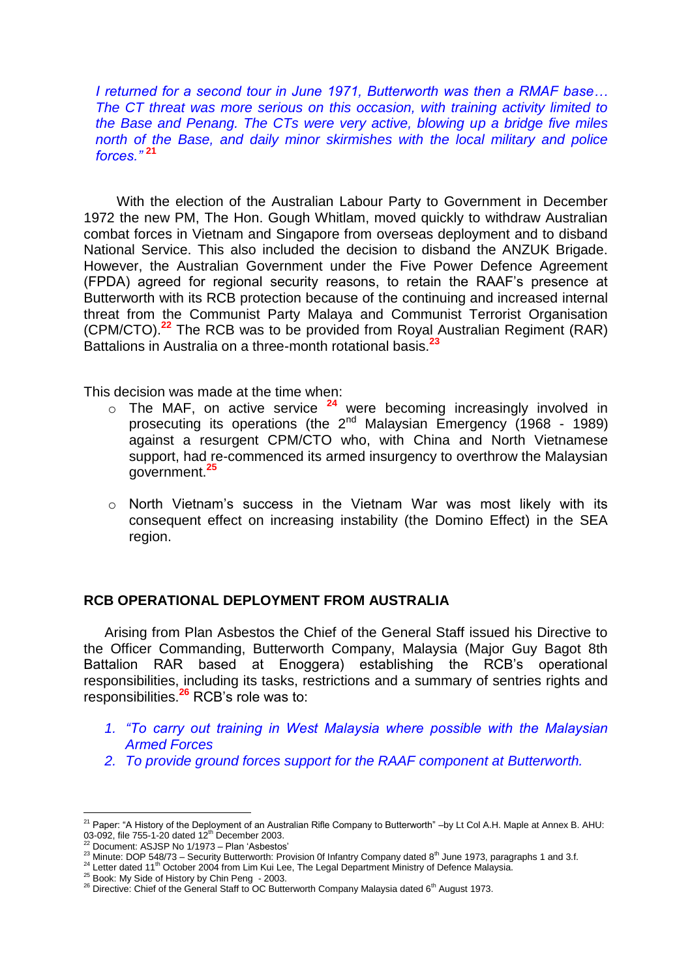*I returned for a second tour in June 1971, Butterworth was then a RMAF base… The CT threat was more serious on this occasion, with training activity limited to the Base and Penang. The CTs were very active, blowing up a bridge five miles north of the Base, and daily minor skirmishes with the local military and police forces."* **<sup>21</sup>**

With the election of the Australian Labour Party to Government in December 1972 the new PM, The Hon. Gough Whitlam, moved quickly to withdraw Australian combat forces in Vietnam and Singapore from overseas deployment and to disband National Service. This also included the decision to disband the ANZUK Brigade. However, the Australian Government under the Five Power Defence Agreement (FPDA) agreed for regional security reasons, to retain the RAAF's presence at Butterworth with its RCB protection because of the continuing and increased internal threat from the Communist Party Malaya and Communist Terrorist Organisation (CPM/CTO).**<sup>22</sup>** The RCB was to be provided from Royal Australian Regiment (RAR) Battalions in Australia on a three-month rotational basis.**<sup>23</sup>**

This decision was made at the time when:

- o The MAF, on active service **<sup>24</sup>** were becoming increasingly involved in prosecuting its operations (the  $2^{nd}$  Malaysian Emergency (1968 - 1989) against a resurgent CPM/CTO who, with China and North Vietnamese support, had re-commenced its armed insurgency to overthrow the Malaysian government.**<sup>25</sup>**
- o North Vietnam's success in the Vietnam War was most likely with its consequent effect on increasing instability (the Domino Effect) in the SEA region.

#### **RCB OPERATIONAL DEPLOYMENT FROM AUSTRALIA**

Arising from Plan Asbestos the Chief of the General Staff issued his Directive to the Officer Commanding, Butterworth Company, Malaysia (Major Guy Bagot 8th Battalion RAR based at Enoggera) establishing the RCB's operational responsibilities, including its tasks, restrictions and a summary of sentries rights and responsibilities.**<sup>26</sup>** RCB's role was to:

- *1. "To carry out training in West Malaysia where possible with the Malaysian Armed Forces*
- *2. To provide ground forces support for the RAAF component at Butterworth.*

 $^{21}$  Paper: "A History of the Deployment of an Australian Rifle Company to Butterworth" –by Lt Col A.H. Maple at Annex B. AHU: 03-092, file 755-1-20 dated 12<sup>th</sup> December 2003.

<sup>&</sup>lt;sup>22</sup> Document: ASJSP No 1/1973 - Plan 'Asbestos'

 $^{23}$  Minute: DOP 548/73 – Security Butterworth: Provision 0f Infantry Company dated 8<sup>th</sup> June 1973, paragraphs 1 and 3.f.

<sup>&</sup>lt;sup>24</sup> Letter dated 11<sup>th</sup> October 2004 from Lim Kui Lee, The Legal Department Ministry of Defence Malaysia.

<sup>&</sup>lt;sup>25</sup> Book: My Side of History by Chin Peng - 2003.

<sup>&</sup>lt;sup>26</sup> Directive: Chief of the General Staff to OC Butterworth Company Malaysia dated 6<sup>th</sup> August 1973.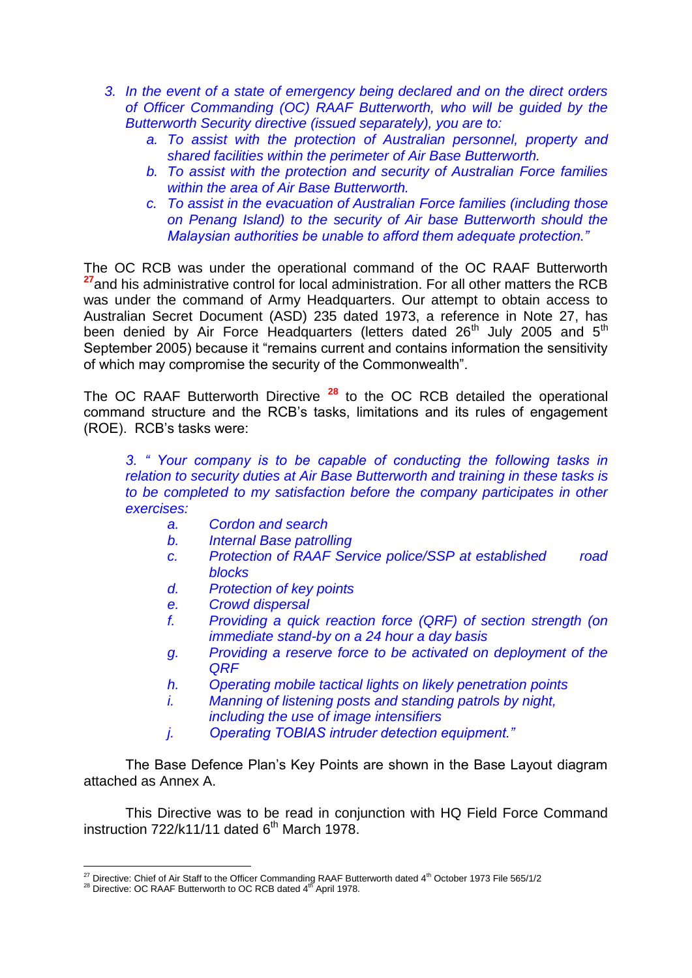- *3. In the event of a state of emergency being declared and on the direct orders of Officer Commanding (OC) RAAF Butterworth, who will be guided by the Butterworth Security directive (issued separately), you are to:*
	- *a. To assist with the protection of Australian personnel, property and shared facilities within the perimeter of Air Base Butterworth.*
	- *b. To assist with the protection and security of Australian Force families within the area of Air Base Butterworth.*
	- *c. To assist in the evacuation of Australian Force families (including those on Penang Island) to the security of Air base Butterworth should the Malaysian authorities be unable to afford them adequate protection."*

The OC RCB was under the operational command of the OC RAAF Butterworth **<sup>27</sup>**and his administrative control for local administration. For all other matters the RCB was under the command of Army Headquarters. Our attempt to obtain access to Australian Secret Document (ASD) 235 dated 1973, a reference in Note 27, has been denied by Air Force Headquarters (letters dated 26<sup>th</sup> July 2005 and 5<sup>th</sup> September 2005) because it "remains current and contains information the sensitivity of which may compromise the security of the Commonwealth".

The OC RAAF Butterworth Directive **<sup>28</sup>** to the OC RCB detailed the operational command structure and the RCB's tasks, limitations and its rules of engagement (ROE). RCB's tasks were:

*3. " Your company is to be capable of conducting the following tasks in relation to security duties at Air Base Butterworth and training in these tasks is to be completed to my satisfaction before the company participates in other exercises:*

- *a. Cordon and search*
- *b. Internal Base patrolling*
- *c. Protection of RAAF Service police/SSP at established road blocks*
- *d. Protection of key points*
- *e. Crowd dispersal*
- *f. Providing a quick reaction force (QRF) of section strength (on immediate stand-by on a 24 hour a day basis*
- *g. Providing a reserve force to be activated on deployment of the QRF*
- *h. Operating mobile tactical lights on likely penetration points*
- *i. Manning of listening posts and standing patrols by night,* 
	- *including the use of image intensifiers*
- *j. Operating TOBIAS intruder detection equipment."*

The Base Defence Plan's Key Points are shown in the Base Layout diagram attached as Annex A.

This Directive was to be read in conjunction with HQ Field Force Command instruction  $722/k11/11$  dated  $6<sup>th</sup>$  March 1978.

<sup>&</sup>lt;sup>27</sup> Directive: Chief of Air Staff to the Officer Commanding RAAF Butterworth dated 4<sup>th</sup> October 1973 File 565/1/2

<sup>&</sup>lt;sup>28</sup> Directive: OC RAAF Butterworth to OC RCB dated  $4^{\text{th}}$  April 1978.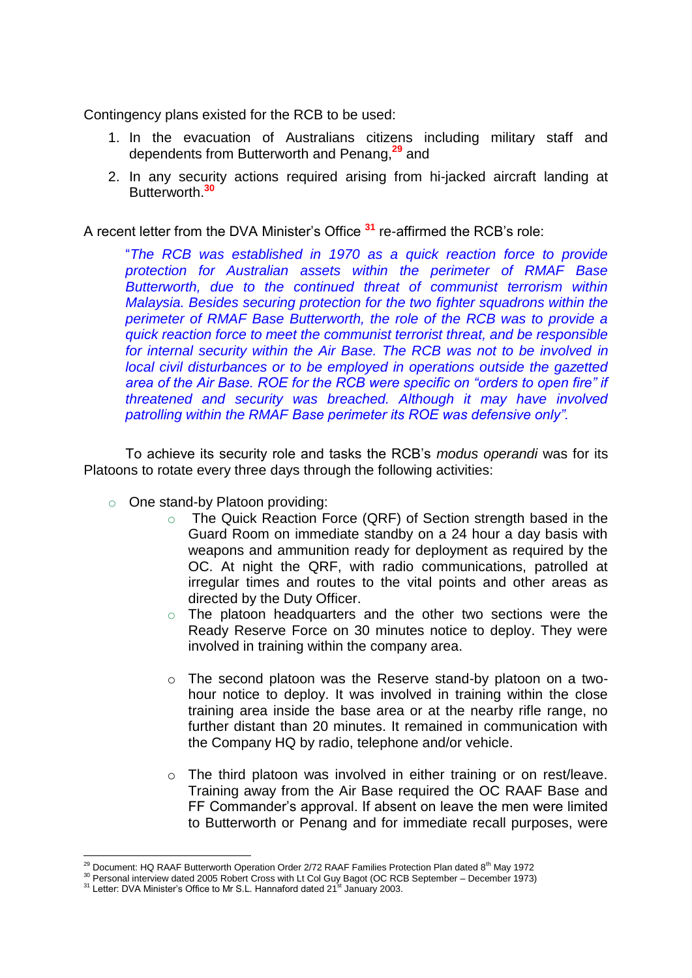Contingency plans existed for the RCB to be used:

- 1. In the evacuation of Australians citizens including military staff and dependents from Butterworth and Penang,**<sup>29</sup>** and
- 2. In any security actions required arising from hi-jacked aircraft landing at Butterworth.**<sup>30</sup>**

A recent letter from the DVA Minister's Office **<sup>31</sup>** re-affirmed the RCB's role:

"*The RCB was established in 1970 as a quick reaction force to provide protection for Australian assets within the perimeter of RMAF Base Butterworth, due to the continued threat of communist terrorism within Malaysia. Besides securing protection for the two fighter squadrons within the perimeter of RMAF Base Butterworth, the role of the RCB was to provide a quick reaction force to meet the communist terrorist threat, and be responsible for internal security within the Air Base. The RCB was not to be involved in local civil disturbances or to be employed in operations outside the gazetted area of the Air Base. ROE for the RCB were specific on "orders to open fire" if threatened and security was breached. Although it may have involved patrolling within the RMAF Base perimeter its ROE was defensive only".* 

To achieve its security role and tasks the RCB's *modus operandi* was for its Platoons to rotate every three days through the following activities:

- o One stand-by Platoon providing:
	- o The Quick Reaction Force (QRF) of Section strength based in the Guard Room on immediate standby on a 24 hour a day basis with weapons and ammunition ready for deployment as required by the OC. At night the QRF, with radio communications, patrolled at irregular times and routes to the vital points and other areas as directed by the Duty Officer.
	- o The platoon headquarters and the other two sections were the Ready Reserve Force on 30 minutes notice to deploy. They were involved in training within the company area.
	- o The second platoon was the Reserve stand-by platoon on a twohour notice to deploy. It was involved in training within the close training area inside the base area or at the nearby rifle range, no further distant than 20 minutes. It remained in communication with the Company HQ by radio, telephone and/or vehicle.
	- $\circ$  The third platoon was involved in either training or on rest/leave. Training away from the Air Base required the OC RAAF Base and FF Commander's approval. If absent on leave the men were limited to Butterworth or Penang and for immediate recall purposes, were

<sup>1</sup> <sup>29</sup> Document: HQ RAAF Butterworth Operation Order 2/72 RAAF Families Protection Plan dated  $8<sup>th</sup>$  May 1972

<sup>30</sup> Personal interview dated 2005 Robert Cross with Lt Col Guy Bagot (OC RCB September – December 1973)

<sup>&</sup>lt;sup>31</sup> Letter: DVA Minister's Office to Mr S.L. Hannaford dated 21<sup>st</sup> January 2003.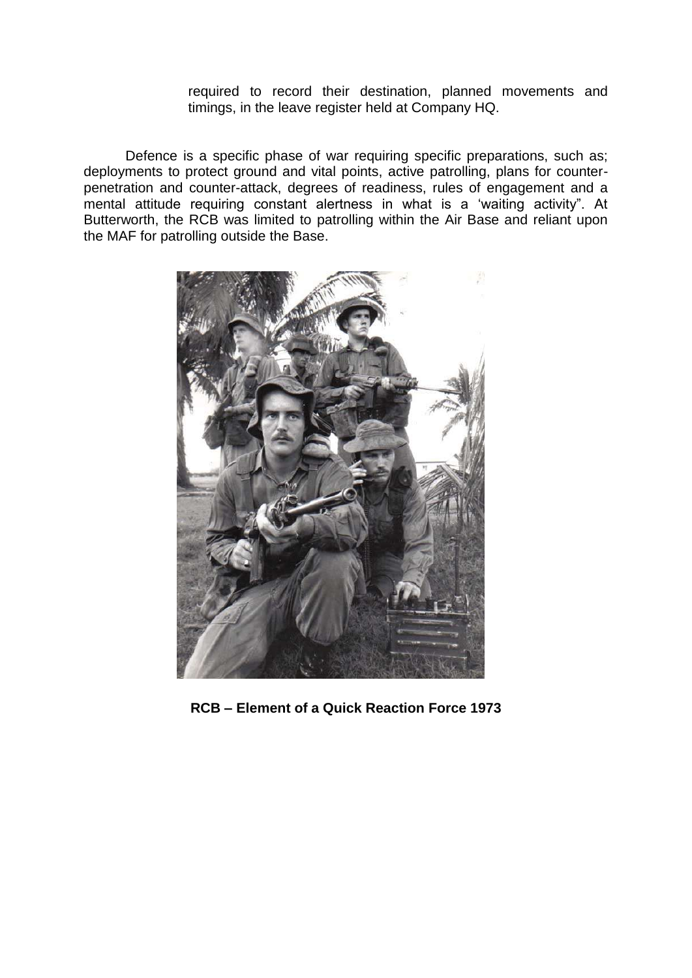required to record their destination, planned movements and timings, in the leave register held at Company HQ.

Defence is a specific phase of war requiring specific preparations, such as; deployments to protect ground and vital points, active patrolling, plans for counterpenetration and counter-attack, degrees of readiness, rules of engagement and a mental attitude requiring constant alertness in what is a 'waiting activity". At Butterworth, the RCB was limited to patrolling within the Air Base and reliant upon the MAF for patrolling outside the Base.



**RCB – Element of a Quick Reaction Force 1973**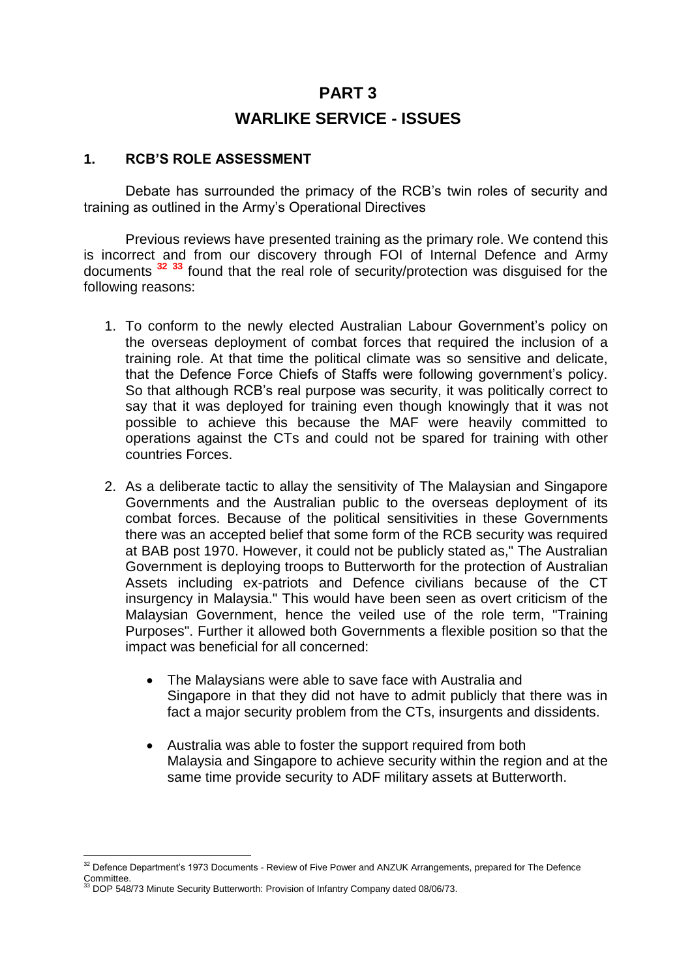## **PART 3**

# **WARLIKE SERVICE - ISSUES**

### **1. RCB'S ROLE ASSESSMENT**

Debate has surrounded the primacy of the RCB's twin roles of security and training as outlined in the Army's Operational Directives

Previous reviews have presented training as the primary role. We contend this is incorrect and from our discovery through FOI of Internal Defence and Army documents **<sup>32</sup> <sup>33</sup>** found that the real role of security/protection was disguised for the following reasons:

- 1. To conform to the newly elected Australian Labour Government's policy on the overseas deployment of combat forces that required the inclusion of a training role. At that time the political climate was so sensitive and delicate, that the Defence Force Chiefs of Staffs were following government's policy. So that although RCB's real purpose was security, it was politically correct to say that it was deployed for training even though knowingly that it was not possible to achieve this because the MAF were heavily committed to operations against the CTs and could not be spared for training with other countries Forces.
- 2. As a deliberate tactic to allay the sensitivity of The Malaysian and Singapore Governments and the Australian public to the overseas deployment of its combat forces. Because of the political sensitivities in these Governments there was an accepted belief that some form of the RCB security was required at BAB post 1970. However, it could not be publicly stated as," The Australian Government is deploying troops to Butterworth for the protection of Australian Assets including ex-patriots and Defence civilians because of the CT insurgency in Malaysia." This would have been seen as overt criticism of the Malaysian Government, hence the veiled use of the role term, "Training Purposes". Further it allowed both Governments a flexible position so that the impact was beneficial for all concerned:
	- The Malaysians were able to save face with Australia and Singapore in that they did not have to admit publicly that there was in fact a major security problem from the CTs, insurgents and dissidents.
	- Australia was able to foster the support required from both Malaysia and Singapore to achieve security within the region and at the same time provide security to ADF military assets at Butterworth.

 $32$  Defence Department's 1973 Documents - Review of Five Power and ANZUK Arrangements, prepared for The Defence Committee.

<sup>33</sup> DOP 548/73 Minute Security Butterworth: Provision of Infantry Company dated 08/06/73.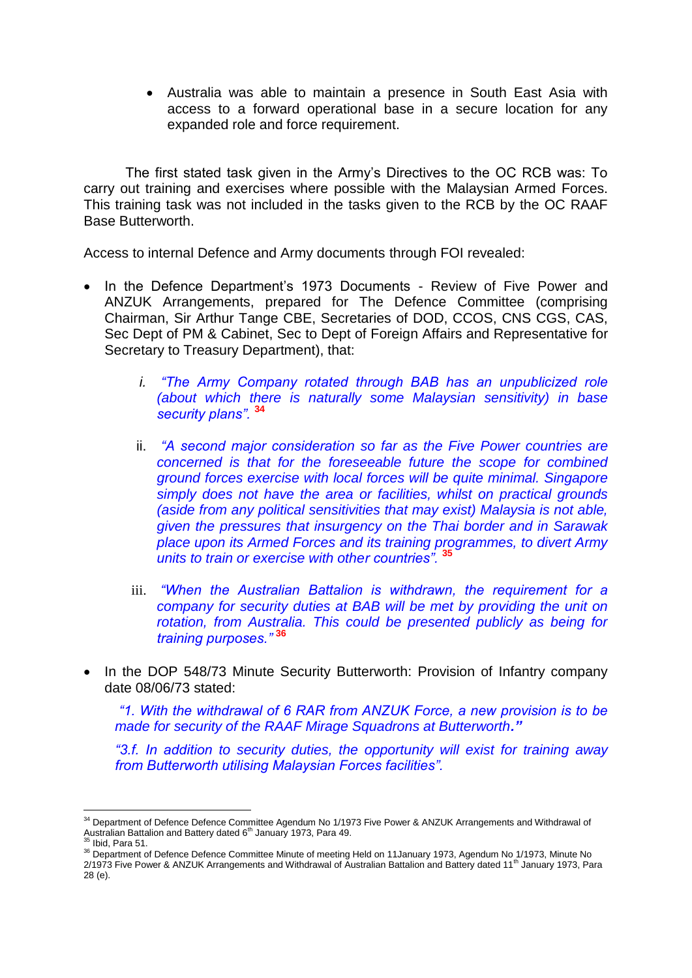Australia was able to maintain a presence in South East Asia with access to a forward operational base in a secure location for any expanded role and force requirement.

The first stated task given in the Army's Directives to the OC RCB was: To carry out training and exercises where possible with the Malaysian Armed Forces. This training task was not included in the tasks given to the RCB by the OC RAAF Base Butterworth.

Access to internal Defence and Army documents through FOI revealed:

- In the Defence Department's 1973 Documents Review of Five Power and ANZUK Arrangements, prepared for The Defence Committee (comprising Chairman, Sir Arthur Tange CBE, Secretaries of DOD, CCOS, CNS CGS, CAS, Sec Dept of PM & Cabinet, Sec to Dept of Foreign Affairs and Representative for Secretary to Treasury Department), that:
	- *i. "The Army Company rotated through BAB has an unpublicized role (about which there is naturally some Malaysian sensitivity) in base security plans".* **<sup>34</sup>**
	- ii. *"A second major consideration so far as the Five Power countries are concerned is that for the foreseeable future the scope for combined ground forces exercise with local forces will be quite minimal. Singapore simply does not have the area or facilities, whilst on practical grounds (aside from any political sensitivities that may exist) Malaysia is not able, given the pressures that insurgency on the Thai border and in Sarawak place upon its Armed Forces and its training programmes, to divert Army units to train or exercise with other countries".* **<sup>35</sup>**
	- iii. *"When the Australian Battalion is withdrawn, the requirement for a company for security duties at BAB will be met by providing the unit on rotation, from Australia. This could be presented publicly as being for training purposes."* **<sup>36</sup>**
- In the DOP 548/73 Minute Security Butterworth: Provision of Infantry company date 08/06/73 stated:

*"1. With the withdrawal of 6 RAR from ANZUK Force, a new provision is to be made for security of the RAAF Mirage Squadrons at Butterworth."*

*"3.f. In addition to security duties, the opportunity will exist for training away from Butterworth utilising Malaysian Forces facilities".*

<sup>&</sup>lt;sup>34</sup> Department of Defence Defence Committee Agendum No 1/1973 Five Power & ANZUK Arrangements and Withdrawal of Australian Battalion and Battery dated 6<sup>th</sup> January 1973, Para 49.

 $<sup>5</sup>$  Ibid, Para 51.</sup>

<sup>36</sup> Department of Defence Defence Committee Minute of meeting Held on 11January 1973, Agendum No 1/1973, Minute No  $2/1973$  Five Power & ANZUK Arrangements and Withdrawal of Australian Battalion and Battery dated 11<sup>th</sup> January 1973, Para 28 (e).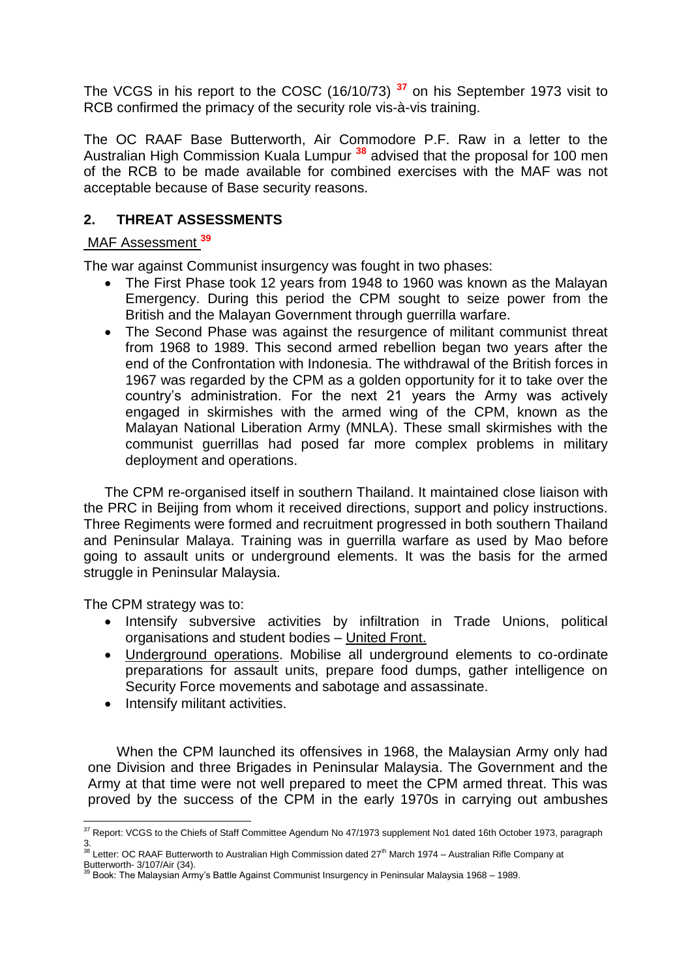The VCGS in his report to the COSC (16/10/73) **<sup>37</sup>** on his September 1973 visit to RCB confirmed the primacy of the security role vis-à-vis training.

The OC RAAF Base Butterworth, Air Commodore P.F. Raw in a letter to the Australian High Commission Kuala Lumpur **<sup>38</sup>** advised that the proposal for 100 men of the RCB to be made available for combined exercises with the MAF was not acceptable because of Base security reasons.

## **2. THREAT ASSESSMENTS**

## MAF Assessment **<sup>39</sup>**

The war against Communist insurgency was fought in two phases:

- The First Phase took 12 years from 1948 to 1960 was known as the Malayan Emergency. During this period the CPM sought to seize power from the British and the Malayan Government through guerrilla warfare.
- The Second Phase was against the resurgence of militant communist threat from 1968 to 1989. This second armed rebellion began two years after the end of the Confrontation with Indonesia. The withdrawal of the British forces in 1967 was regarded by the CPM as a golden opportunity for it to take over the country's administration. For the next 21 years the Army was actively engaged in skirmishes with the armed wing of the CPM, known as the Malayan National Liberation Army (MNLA). These small skirmishes with the communist guerrillas had posed far more complex problems in military deployment and operations.

The CPM re-organised itself in southern Thailand. It maintained close liaison with the PRC in Beijing from whom it received directions, support and policy instructions. Three Regiments were formed and recruitment progressed in both southern Thailand and Peninsular Malaya. Training was in guerrilla warfare as used by Mao before going to assault units or underground elements. It was the basis for the armed struggle in Peninsular Malaysia.

The CPM strategy was to:

<u>.</u>

- Intensify subversive activities by infiltration in Trade Unions, political organisations and student bodies – United Front.
- Underground operations. Mobilise all underground elements to co-ordinate preparations for assault units, prepare food dumps, gather intelligence on Security Force movements and sabotage and assassinate.
- Intensify militant activities.

When the CPM launched its offensives in 1968, the Malaysian Army only had one Division and three Brigades in Peninsular Malaysia. The Government and the Army at that time were not well prepared to meet the CPM armed threat. This was proved by the success of the CPM in the early 1970s in carrying out ambushes

 $37$  Report: VCGS to the Chiefs of Staff Committee Agendum No 47/1973 supplement No1 dated 16th October 1973, paragraph 3.<br><sup>38</sup> Letter: OC RAAF Butterworth to Australian High Commission dated 27<sup>th</sup> March 1974 – Australian Rifle Company at

Butterworth-  $3/107/Ar$  (34).<br> $39$  Book: The Malaysian Arm

Book: The Malaysian Army's Battle Against Communist Insurgency in Peninsular Malaysia 1968 – 1989.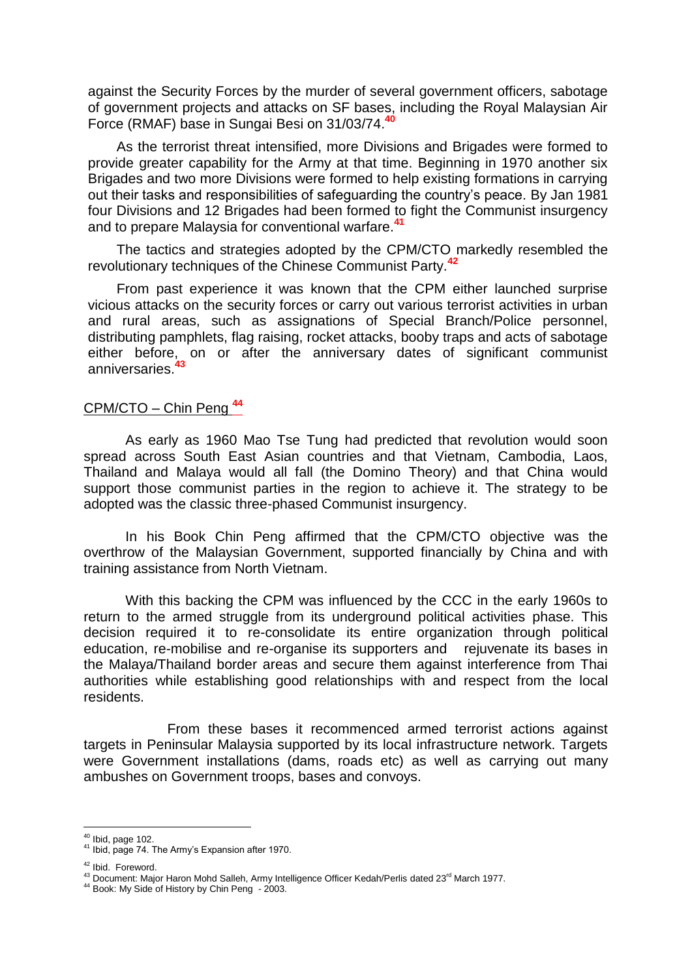against the Security Forces by the murder of several government officers, sabotage of government projects and attacks on SF bases, including the Royal Malaysian Air Force (RMAF) base in Sungai Besi on 31/03/74.**<sup>40</sup>**

As the terrorist threat intensified, more Divisions and Brigades were formed to provide greater capability for the Army at that time. Beginning in 1970 another six Brigades and two more Divisions were formed to help existing formations in carrying out their tasks and responsibilities of safeguarding the country's peace. By Jan 1981 four Divisions and 12 Brigades had been formed to fight the Communist insurgency and to prepare Malaysia for conventional warfare.**<sup>41</sup>**

The tactics and strategies adopted by the CPM/CTO markedly resembled the revolutionary techniques of the Chinese Communist Party.**<sup>42</sup>**

From past experience it was known that the CPM either launched surprise vicious attacks on the security forces or carry out various terrorist activities in urban and rural areas, such as assignations of Special Branch/Police personnel, distributing pamphlets, flag raising, rocket attacks, booby traps and acts of sabotage either before, on or after the anniversary dates of significant communist anniversaries.**<sup>43</sup>**

#### CPM/CTO – Chin Peng **<sup>44</sup>**

As early as 1960 Mao Tse Tung had predicted that revolution would soon spread across South East Asian countries and that Vietnam, Cambodia, Laos, Thailand and Malaya would all fall (the Domino Theory) and that China would support those communist parties in the region to achieve it. The strategy to be adopted was the classic three-phased Communist insurgency.

In his Book Chin Peng affirmed that the CPM/CTO objective was the overthrow of the Malaysian Government, supported financially by China and with training assistance from North Vietnam.

With this backing the CPM was influenced by the CCC in the early 1960s to return to the armed struggle from its underground political activities phase. This decision required it to re-consolidate its entire organization through political education, re-mobilise and re-organise its supporters and rejuvenate its bases in the Malaya/Thailand border areas and secure them against interference from Thai authorities while establishing good relationships with and respect from the local residents.

From these bases it recommenced armed terrorist actions against targets in Peninsular Malaysia supported by its local infrastructure network. Targets were Government installations (dams, roads etc) as well as carrying out many ambushes on Government troops, bases and convoys.

 $40$  Ibid, page 102.

<sup>&</sup>lt;sup>41</sup> Ibid, page 74. The Army's Expansion after 1970.

<sup>&</sup>lt;sup>42</sup> Ibid. Foreword.

<sup>43</sup> Document: Major Haron Mohd Salleh, Army Intelligence Officer Kedah/Perlis dated 23<sup>rd</sup> March 1977.

<sup>44</sup> Book: My Side of History by Chin Peng - 2003.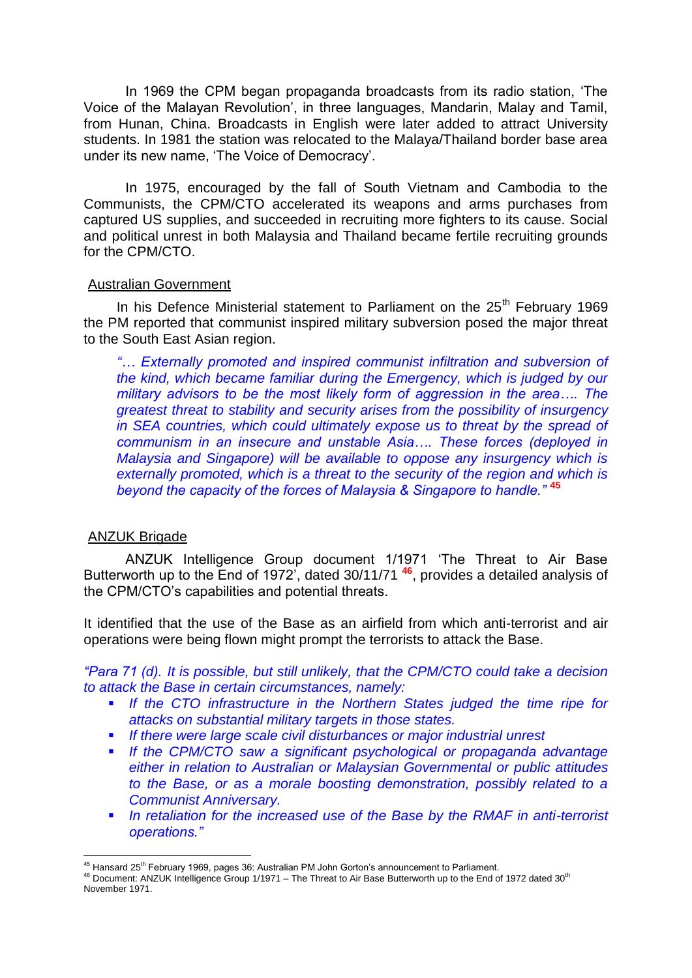In 1969 the CPM began propaganda broadcasts from its radio station, 'The Voice of the Malayan Revolution', in three languages, Mandarin, Malay and Tamil, from Hunan, China. Broadcasts in English were later added to attract University students. In 1981 the station was relocated to the Malaya/Thailand border base area under its new name, 'The Voice of Democracy'.

In 1975, encouraged by the fall of South Vietnam and Cambodia to the Communists, the CPM/CTO accelerated its weapons and arms purchases from captured US supplies, and succeeded in recruiting more fighters to its cause. Social and political unrest in both Malaysia and Thailand became fertile recruiting grounds for the CPM/CTO.

#### Australian Government

In his Defence Ministerial statement to Parliament on the 25<sup>th</sup> February 1969 the PM reported that communist inspired military subversion posed the major threat to the South East Asian region.

*"… Externally promoted and inspired communist infiltration and subversion of the kind, which became familiar during the Emergency, which is judged by our military advisors to be the most likely form of aggression in the area…. The greatest threat to stability and security arises from the possibility of insurgency in SEA countries, which could ultimately expose us to threat by the spread of communism in an insecure and unstable Asia…. These forces (deployed in Malaysia and Singapore) will be available to oppose any insurgency which is externally promoted, which is a threat to the security of the region and which is beyond the capacity of the forces of Malaysia & Singapore to handle."* **<sup>45</sup>**

### ANZUK Brigade

ANZUK Intelligence Group document 1/1971 'The Threat to Air Base Butterworth up to the End of 1972', dated 30/11/71 **<sup>46</sup>**, provides a detailed analysis of the CPM/CTO's capabilities and potential threats.

It identified that the use of the Base as an airfield from which anti-terrorist and air operations were being flown might prompt the terrorists to attack the Base.

*"Para 71 (d). It is possible, but still unlikely, that the CPM/CTO could take a decision to attack the Base in certain circumstances, namely:*

- **If the CTO infrastructure in the Northern States judged the time ripe for** *attacks on substantial military targets in those states.*
- *If there were large scale civil disturbances or major industrial unrest*
- *If the CPM/CTO saw a significant psychological or propaganda advantage either in relation to Australian or Malaysian Governmental or public attitudes to the Base, or as a morale boosting demonstration, possibly related to a Communist Anniversary.*
- **In retaliation for the increased use of the Base by the RMAF in anti-terrorist** *operations."*

<sup>1</sup>  $45$  Hansard 25<sup>th</sup> February 1969, pages 36: Australian PM John Gorton's announcement to Parliament.

<sup>46</sup> Document: ANZUK Intelligence Group 1/1971 – The Threat to Air Base Butterworth up to the End of 1972 dated 30<sup>th</sup> November 1971.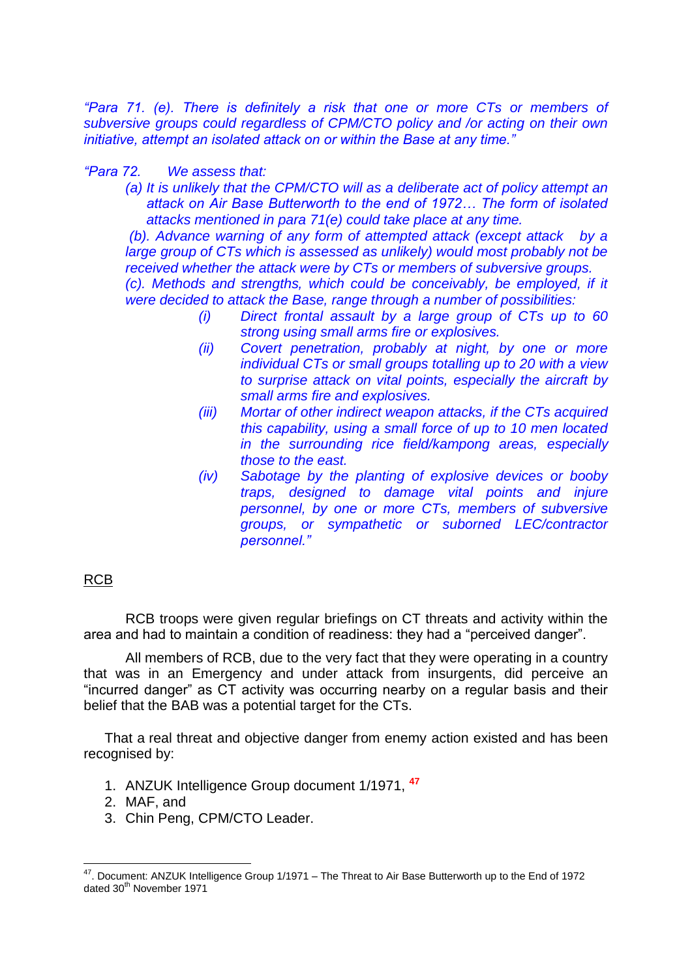*"Para 71. (e). There is definitely a risk that one or more CTs or members of subversive groups could regardless of CPM/CTO policy and /or acting on their own initiative, attempt an isolated attack on or within the Base at any time."*

#### *"Para 72. We assess that:*

*(a) It is unlikely that the CPM/CTO will as a deliberate act of policy attempt an attack on Air Base Butterworth to the end of 1972… The form of isolated attacks mentioned in para 71(e) could take place at any time.*

*(b). Advance warning of any form of attempted attack (except attack by a large group of CTs which is assessed as unlikely) would most probably not be received whether the attack were by CTs or members of subversive groups.*

*(c). Methods and strengths, which could be conceivably, be employed, if it were decided to attack the Base, range through a number of possibilities:*

- *(i) Direct frontal assault by a large group of CTs up to 60 strong using small arms fire or explosives.*
- *(ii) Covert penetration, probably at night, by one or more individual CTs or small groups totalling up to 20 with a view to surprise attack on vital points, especially the aircraft by small arms fire and explosives.*
- *(iii) Mortar of other indirect weapon attacks, if the CTs acquired this capability, using a small force of up to 10 men located in the surrounding rice field/kampong areas, especially those to the east.*
- *(iv) Sabotage by the planting of explosive devices or booby traps, designed to damage vital points and injure personnel, by one or more CTs, members of subversive groups, or sympathetic or suborned LEC/contractor personnel."*

### RCB

<u>.</u>

RCB troops were given regular briefings on CT threats and activity within the area and had to maintain a condition of readiness: they had a "perceived danger".

All members of RCB, due to the very fact that they were operating in a country that was in an Emergency and under attack from insurgents, did perceive an "incurred danger" as CT activity was occurring nearby on a regular basis and their belief that the BAB was a potential target for the CTs.

That a real threat and objective danger from enemy action existed and has been recognised by:

- 1. ANZUK Intelligence Group document 1/1971, **<sup>47</sup>**
- 2. MAF, and
- 3. Chin Peng, CPM/CTO Leader.

<sup>&</sup>lt;sup>47</sup>. Document: ANZUK Intelligence Group 1/1971 – The Threat to Air Base Butterworth up to the End of 1972 dated 30<sup>th</sup> November 1971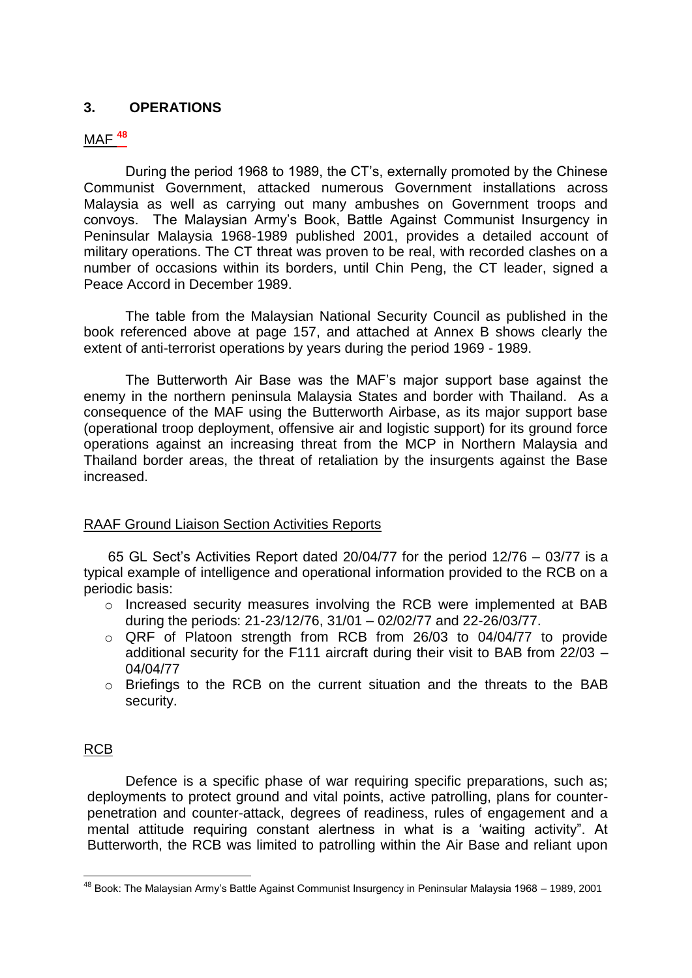## **3. OPERATIONS**

### MAF **<sup>48</sup>**

During the period 1968 to 1989, the CT's, externally promoted by the Chinese Communist Government, attacked numerous Government installations across Malaysia as well as carrying out many ambushes on Government troops and convoys. The Malaysian Army's Book, Battle Against Communist Insurgency in Peninsular Malaysia 1968-1989 published 2001, provides a detailed account of military operations. The CT threat was proven to be real, with recorded clashes on a number of occasions within its borders, until Chin Peng, the CT leader, signed a Peace Accord in December 1989.

The table from the Malaysian National Security Council as published in the book referenced above at page 157, and attached at Annex B shows clearly the extent of anti-terrorist operations by years during the period 1969 - 1989.

The Butterworth Air Base was the MAF's major support base against the enemy in the northern peninsula Malaysia States and border with Thailand. As a consequence of the MAF using the Butterworth Airbase, as its major support base (operational troop deployment, offensive air and logistic support) for its ground force operations against an increasing threat from the MCP in Northern Malaysia and Thailand border areas, the threat of retaliation by the insurgents against the Base increased.

### RAAF Ground Liaison Section Activities Reports

65 GL Sect's Activities Report dated 20/04/77 for the period 12/76 – 03/77 is a typical example of intelligence and operational information provided to the RCB on a periodic basis:

- o Increased security measures involving the RCB were implemented at BAB during the periods: 21-23/12/76, 31/01 – 02/02/77 and 22-26/03/77.
- o QRF of Platoon strength from RCB from 26/03 to 04/04/77 to provide additional security for the F111 aircraft during their visit to BAB from 22/03 – 04/04/77
- $\circ$  Briefings to the RCB on the current situation and the threats to the BAB security.

### RCB

1

Defence is a specific phase of war requiring specific preparations, such as; deployments to protect ground and vital points, active patrolling, plans for counterpenetration and counter-attack, degrees of readiness, rules of engagement and a mental attitude requiring constant alertness in what is a 'waiting activity". At Butterworth, the RCB was limited to patrolling within the Air Base and reliant upon

 $^{48}$  Book: The Malaysian Army's Battle Against Communist Insurgency in Peninsular Malaysia 1968 – 1989, 2001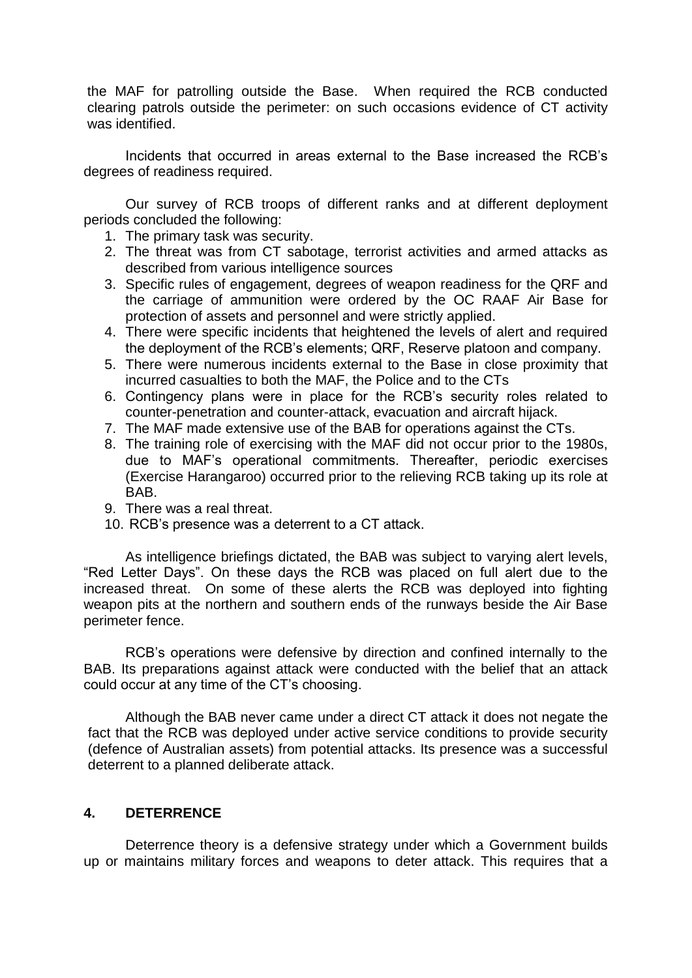the MAF for patrolling outside the Base. When required the RCB conducted clearing patrols outside the perimeter: on such occasions evidence of CT activity was identified.

Incidents that occurred in areas external to the Base increased the RCB's degrees of readiness required.

Our survey of RCB troops of different ranks and at different deployment periods concluded the following:

- 1. The primary task was security.
- 2. The threat was from CT sabotage, terrorist activities and armed attacks as described from various intelligence sources
- 3. Specific rules of engagement, degrees of weapon readiness for the QRF and the carriage of ammunition were ordered by the OC RAAF Air Base for protection of assets and personnel and were strictly applied.
- 4. There were specific incidents that heightened the levels of alert and required the deployment of the RCB's elements; QRF, Reserve platoon and company.
- 5. There were numerous incidents external to the Base in close proximity that incurred casualties to both the MAF, the Police and to the CTs
- 6. Contingency plans were in place for the RCB's security roles related to counter-penetration and counter-attack, evacuation and aircraft hijack.
- 7. The MAF made extensive use of the BAB for operations against the CTs.
- 8. The training role of exercising with the MAF did not occur prior to the 1980s, due to MAF's operational commitments. Thereafter, periodic exercises (Exercise Harangaroo) occurred prior to the relieving RCB taking up its role at **BAB.**
- 9. There was a real threat.
- 10. RCB's presence was a deterrent to a CT attack.

As intelligence briefings dictated, the BAB was subject to varying alert levels, "Red Letter Days". On these days the RCB was placed on full alert due to the increased threat. On some of these alerts the RCB was deployed into fighting weapon pits at the northern and southern ends of the runways beside the Air Base perimeter fence.

RCB's operations were defensive by direction and confined internally to the BAB. Its preparations against attack were conducted with the belief that an attack could occur at any time of the CT's choosing.

Although the BAB never came under a direct CT attack it does not negate the fact that the RCB was deployed under active service conditions to provide security (defence of Australian assets) from potential attacks. Its presence was a successful deterrent to a planned deliberate attack.

### **4. DETERRENCE**

Deterrence theory is a defensive strategy under which a Government builds up or maintains military forces and weapons to deter attack. This requires that a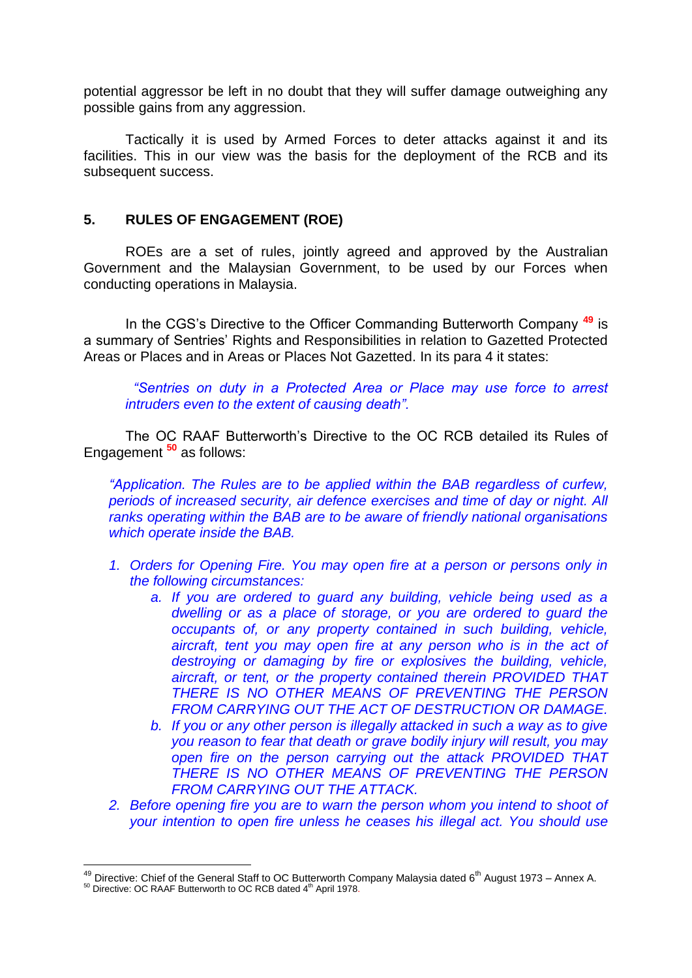potential aggressor be left in no doubt that they will suffer damage outweighing any possible gains from any aggression.

Tactically it is used by Armed Forces to deter attacks against it and its facilities. This in our view was the basis for the deployment of the RCB and its subsequent success.

### **5. RULES OF ENGAGEMENT (ROE)**

ROEs are a set of rules, jointly agreed and approved by the Australian Government and the Malaysian Government, to be used by our Forces when conducting operations in Malaysia.

In the CGS's Directive to the Officer Commanding Butterworth Company **<sup>49</sup>** is a summary of Sentries' Rights and Responsibilities in relation to Gazetted Protected Areas or Places and in Areas or Places Not Gazetted. In its para 4 it states:

 *"Sentries on duty in a Protected Area or Place may use force to arrest intruders even to the extent of causing death".*

The OC RAAF Butterworth's Directive to the OC RCB detailed its Rules of Engagement **<sup>50</sup>** as follows:

*"Application. The Rules are to be applied within the BAB regardless of curfew, periods of increased security, air defence exercises and time of day or night. All ranks operating within the BAB are to be aware of friendly national organisations which operate inside the BAB.*

- *1. Orders for Opening Fire. You may open fire at a person or persons only in the following circumstances:*
	- *a. If you are ordered to guard any building, vehicle being used as a dwelling or as a place of storage, or you are ordered to guard the occupants of, or any property contained in such building, vehicle,*  aircraft, tent you may open fire at any person who is in the act of *destroying or damaging by fire or explosives the building, vehicle, aircraft, or tent, or the property contained therein PROVIDED THAT THERE IS NO OTHER MEANS OF PREVENTING THE PERSON FROM CARRYING OUT THE ACT OF DESTRUCTION OR DAMAGE.*
	- *b. If you or any other person is illegally attacked in such a way as to give you reason to fear that death or grave bodily injury will result, you may open fire on the person carrying out the attack PROVIDED THAT THERE IS NO OTHER MEANS OF PREVENTING THE PERSON FROM CARRYING OUT THE ATTACK.*
- *2. Before opening fire you are to warn the person whom you intend to shoot of your intention to open fire unless he ceases his illegal act. You should use*

<u>.</u>

<sup>&</sup>lt;sup>49</sup> Directive: Chief of the General Staff to OC Butterworth Company Malaysia dated  $6<sup>th</sup>$  August 1973 – Annex A.

 $50$  Directive: OC RAAF Butterworth to OC RCB dated  $4<sup>th</sup>$  April 1978.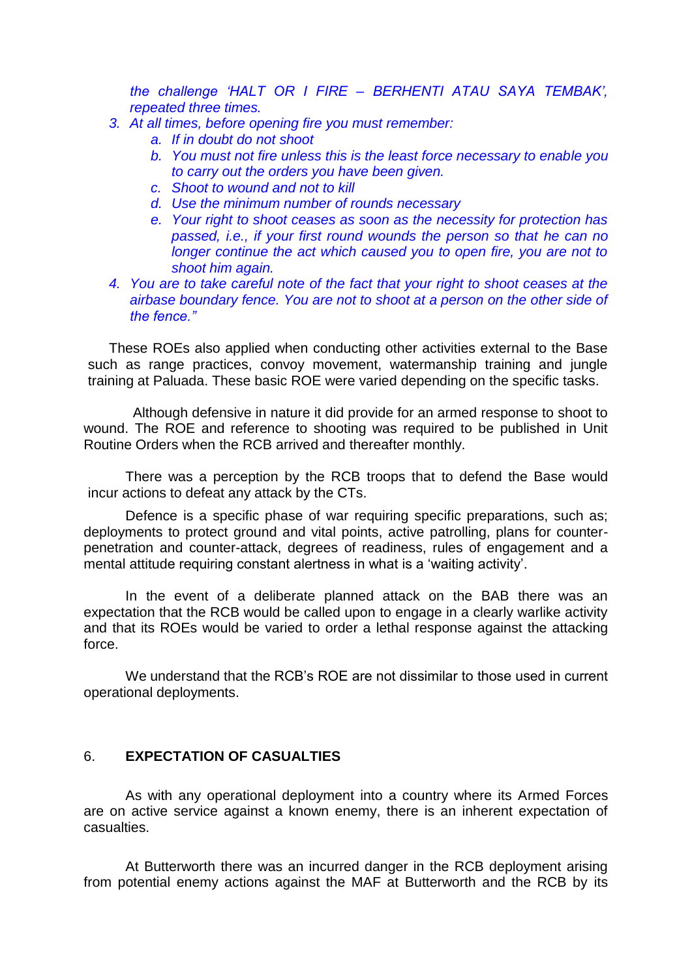*the challenge 'HALT OR I FIRE – BERHENTI ATAU SAYA TEMBAK', repeated three times.*

- *3. At all times, before opening fire you must remember:*
	- *a. If in doubt do not shoot*
	- *b. You must not fire unless this is the least force necessary to enable you to carry out the orders you have been given.*
	- *c. Shoot to wound and not to kill*
	- *d. Use the minimum number of rounds necessary*
	- *e. Your right to shoot ceases as soon as the necessity for protection has passed, i.e., if your first round wounds the person so that he can no longer continue the act which caused you to open fire, you are not to shoot him again.*
- *4. You are to take careful note of the fact that your right to shoot ceases at the airbase boundary fence. You are not to shoot at a person on the other side of the fence."*

These ROEs also applied when conducting other activities external to the Base such as range practices, convoy movement, watermanship training and jungle training at Paluada. These basic ROE were varied depending on the specific tasks.

Although defensive in nature it did provide for an armed response to shoot to wound. The ROE and reference to shooting was required to be published in Unit Routine Orders when the RCB arrived and thereafter monthly.

There was a perception by the RCB troops that to defend the Base would incur actions to defeat any attack by the CTs.

Defence is a specific phase of war requiring specific preparations, such as; deployments to protect ground and vital points, active patrolling, plans for counterpenetration and counter-attack, degrees of readiness, rules of engagement and a mental attitude requiring constant alertness in what is a 'waiting activity'.

In the event of a deliberate planned attack on the BAB there was an expectation that the RCB would be called upon to engage in a clearly warlike activity and that its ROEs would be varied to order a lethal response against the attacking force.

We understand that the RCB's ROE are not dissimilar to those used in current operational deployments.

## 6. **EXPECTATION OF CASUALTIES**

As with any operational deployment into a country where its Armed Forces are on active service against a known enemy, there is an inherent expectation of casualties.

At Butterworth there was an incurred danger in the RCB deployment arising from potential enemy actions against the MAF at Butterworth and the RCB by its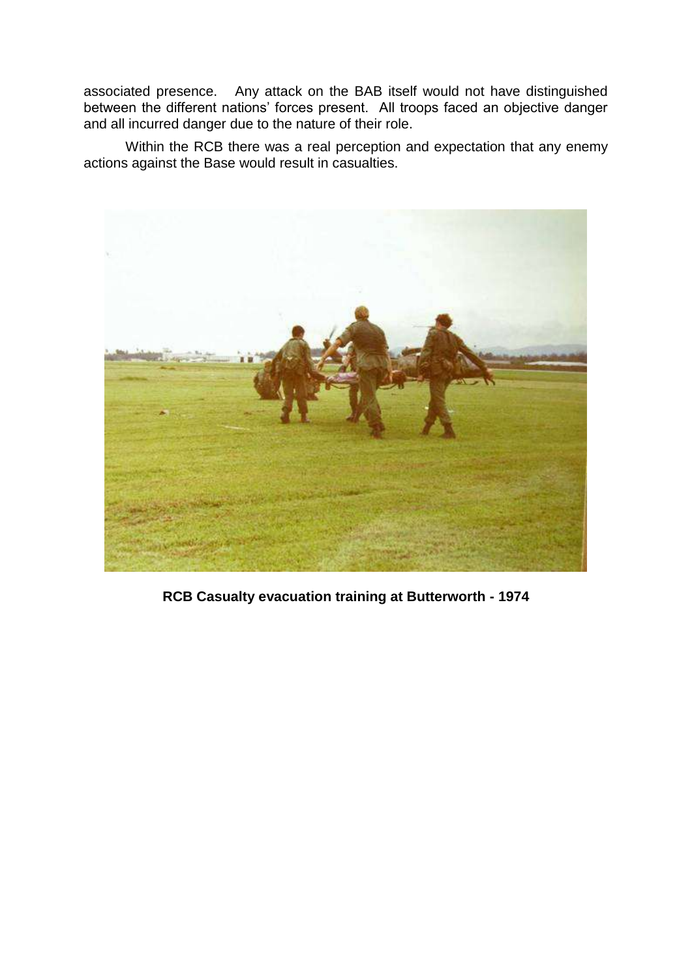associated presence. Any attack on the BAB itself would not have distinguished between the different nations' forces present. All troops faced an objective danger and all incurred danger due to the nature of their role.

Within the RCB there was a real perception and expectation that any enemy actions against the Base would result in casualties.



**RCB Casualty evacuation training at Butterworth - 1974**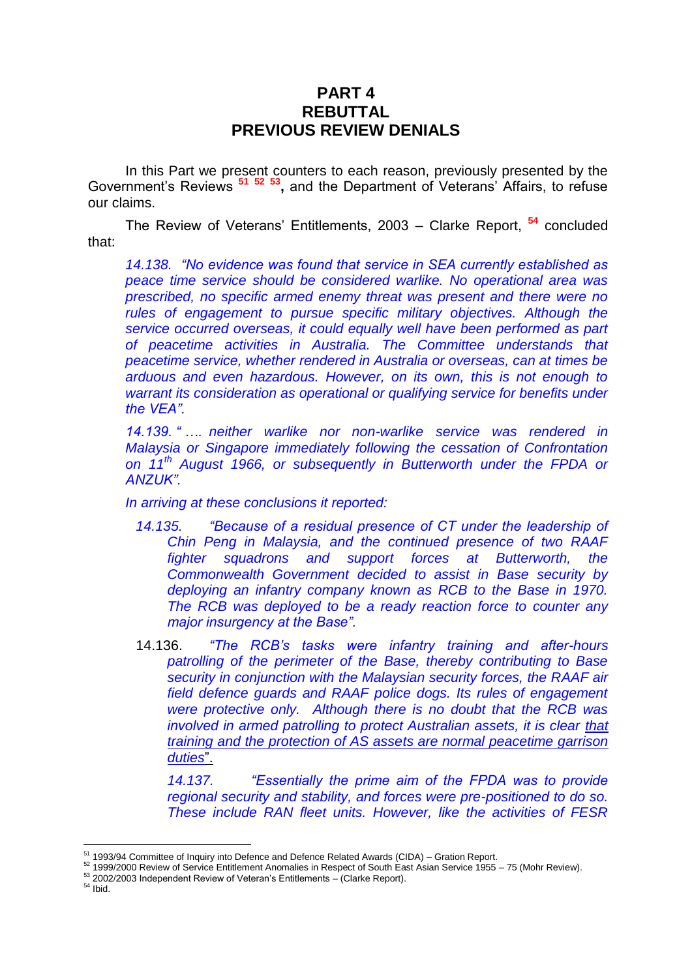## **PART 4 REBUTTAL PREVIOUS REVIEW DENIALS**

In this Part we present counters to each reason, previously presented by the Government's Reviews **<sup>51</sup> <sup>52</sup> <sup>53</sup> ,** and the Department of Veterans' Affairs, to refuse our claims.

The Review of Veterans' Entitlements, 2003 – Clarke Report, **<sup>54</sup>** concluded that:

*14.138. "No evidence was found that service in SEA currently established as peace time service should be considered warlike. No operational area was prescribed, no specific armed enemy threat was present and there were no*  rules of engagement to pursue specific military objectives. Although the *service occurred overseas, it could equally well have been performed as part of peacetime activities in Australia. The Committee understands that peacetime service, whether rendered in Australia or overseas, can at times be arduous and even hazardous. However, on its own, this is not enough to warrant its consideration as operational or qualifying service for benefits under the VEA".*

*14.139. " …. neither warlike nor non-warlike service was rendered in Malaysia or Singapore immediately following the cessation of Confrontation on 11th August 1966, or subsequently in Butterworth under the FPDA or ANZUK".*

*In arriving at these conclusions it reported:*

- *14.135. "Because of a residual presence of CT under the leadership of Chin Peng in Malaysia, and the continued presence of two RAAF fighter squadrons and support forces at Butterworth, the Commonwealth Government decided to assist in Base security by deploying an infantry company known as RCB to the Base in 1970. The RCB was deployed to be a ready reaction force to counter any major insurgency at the Base".*
- 14.136. *"The RCB's tasks were infantry training and after-hours patrolling of the perimeter of the Base, thereby contributing to Base security in conjunction with the Malaysian security forces, the RAAF air field defence guards and RAAF police dogs. Its rules of engagement were protective only. Although there is no doubt that the RCB was involved in armed patrolling to protect Australian assets, it is clear that training and the protection of AS assets are normal peacetime garrison duties*".

*14.137. "Essentially the prime aim of the FPDA was to provide regional security and stability, and forces were pre-positioned to do so. These include RAN fleet units. However, like the activities of FESR* 

<u>.</u>

<sup>&</sup>lt;sup>51</sup> 1993/94 Committee of Inquiry into Defence and Defence Related Awards (CIDA) – Gration Report.

<sup>52</sup> 1999/2000 Review of Service Entitlement Anomalies in Respect of South East Asian Service 1955 – 75 (Mohr Review).

<sup>53</sup> 2002/2003 Independent Review of Veteran's Entitlements – (Clarke Report).

 $54$  Ibid.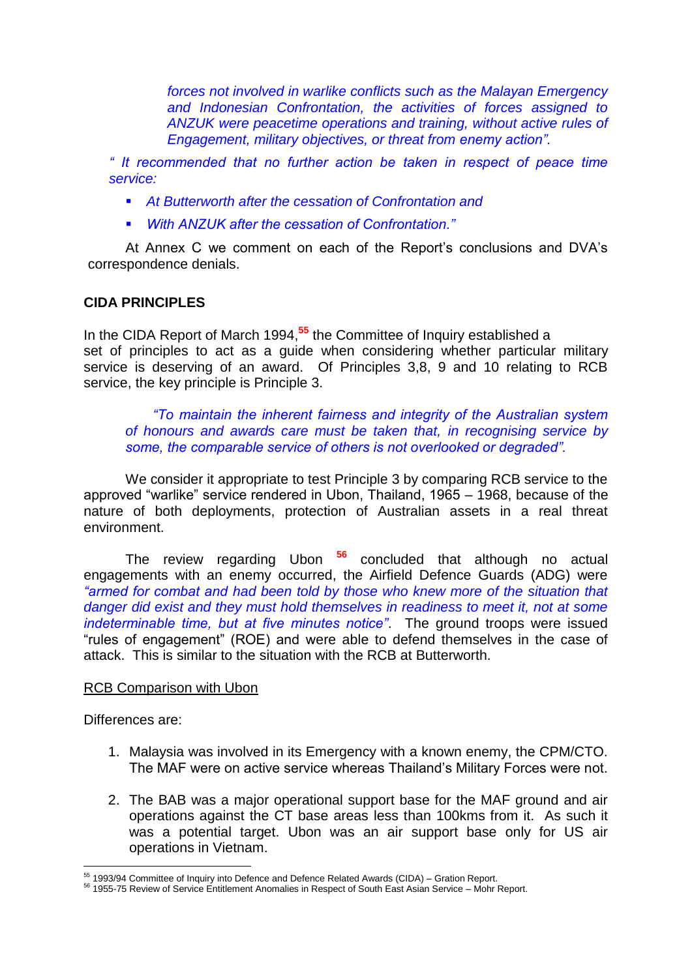*forces not involved in warlike conflicts such as the Malayan Emergency and Indonesian Confrontation, the activities of forces assigned to ANZUK were peacetime operations and training, without active rules of Engagement, military objectives, or threat from enemy action".* 

*" It recommended that no further action be taken in respect of peace time service:*

- *At Butterworth after the cessation of Confrontation and*
- *With ANZUK after the cessation of Confrontation."*

At Annex C we comment on each of the Report's conclusions and DVA's correspondence denials.

### **CIDA PRINCIPLES**

In the CIDA Report of March 1994,**<sup>55</sup>** the Committee of Inquiry established a set of principles to act as a quide when considering whether particular military service is deserving of an award. Of Principles 3,8, 9 and 10 relating to RCB service, the key principle is Principle 3.

 *"To maintain the inherent fairness and integrity of the Australian system of honours and awards care must be taken that, in recognising service by some, the comparable service of others is not overlooked or degraded".*

We consider it appropriate to test Principle 3 by comparing RCB service to the approved "warlike" service rendered in Ubon, Thailand, 1965 – 1968, because of the nature of both deployments, protection of Australian assets in a real threat environment.

The review regarding Ubon **<sup>56</sup>** concluded that although no actual engagements with an enemy occurred, the Airfield Defence Guards (ADG) were *"armed for combat and had been told by those who knew more of the situation that danger did exist and they must hold themselves in readiness to meet it, not at some indeterminable time, but at five minutes notice"*. The ground troops were issued "rules of engagement" (ROE) and were able to defend themselves in the case of attack. This is similar to the situation with the RCB at Butterworth.

#### RCB Comparison with Ubon

Differences are:

- 1. Malaysia was involved in its Emergency with a known enemy, the CPM/CTO. The MAF were on active service whereas Thailand's Military Forces were not.
- 2. The BAB was a major operational support base for the MAF ground and air operations against the CT base areas less than 100kms from it. As such it was a potential target. Ubon was an air support base only for US air operations in Vietnam.

<sup>1</sup> <sup>55</sup> 1993/94 Committee of Inquiry into Defence and Defence Related Awards (CIDA) – Gration Report.

<sup>56</sup> 1955-75 Review of Service Entitlement Anomalies in Respect of South East Asian Service – Mohr Report.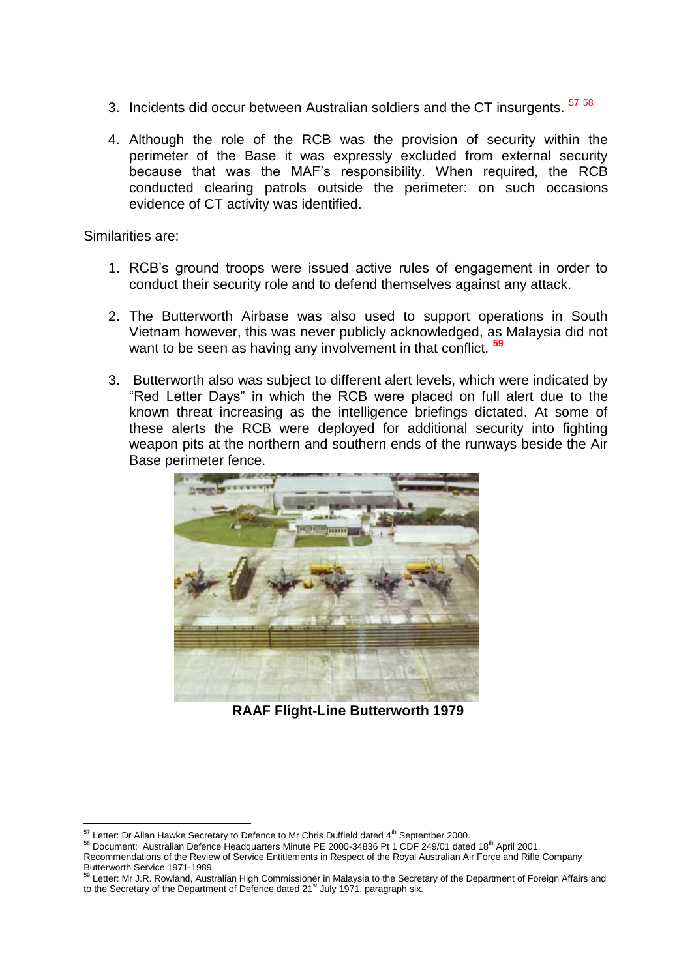- 3. Incidents did occur between Australian soldiers and the CT insurgents.  $5758$
- 4. Although the role of the RCB was the provision of security within the perimeter of the Base it was expressly excluded from external security because that was the MAF's responsibility. When required, the RCB conducted clearing patrols outside the perimeter: on such occasions evidence of CT activity was identified.

Similarities are:

- 1. RCB's ground troops were issued active rules of engagement in order to conduct their security role and to defend themselves against any attack.
- 2. The Butterworth Airbase was also used to support operations in South Vietnam however, this was never publicly acknowledged, as Malaysia did not want to be seen as having any involvement in that conflict. **<sup>59</sup>**
- 3. Butterworth also was subject to different alert levels, which were indicated by "Red Letter Days" in which the RCB were placed on full alert due to the known threat increasing as the intelligence briefings dictated. At some of these alerts the RCB were deployed for additional security into fighting weapon pits at the northern and southern ends of the runways beside the Air Base perimeter fence.



**RAAF Flight-Line Butterworth 1979**

<sup>&</sup>lt;u>.</u>  $57$  Letter: Dr Allan Hawke Secretary to Defence to Mr Chris Duffield dated  $4<sup>th</sup>$  September 2000.

<sup>&</sup>lt;sup>58</sup> Document: Australian Defence Headquarters Minute PE 2000-34836 Pt 1 CDF 249/01 dated 18<sup>th</sup> April 2001.

Recommendations of the Review of Service Entitlements in Respect of the Royal Australian Air Force and Rifle Company

Butterworth Service 1971-1989.<br><sup>59</sup> Letter: Mr J.R. Rowland, Australian High Commissioner in Malaysia to the Secretary of the Department of Foreign Affairs and to the Secretary of the Department of Defence dated  $21<sup>st</sup>$  July 1971, paragraph six.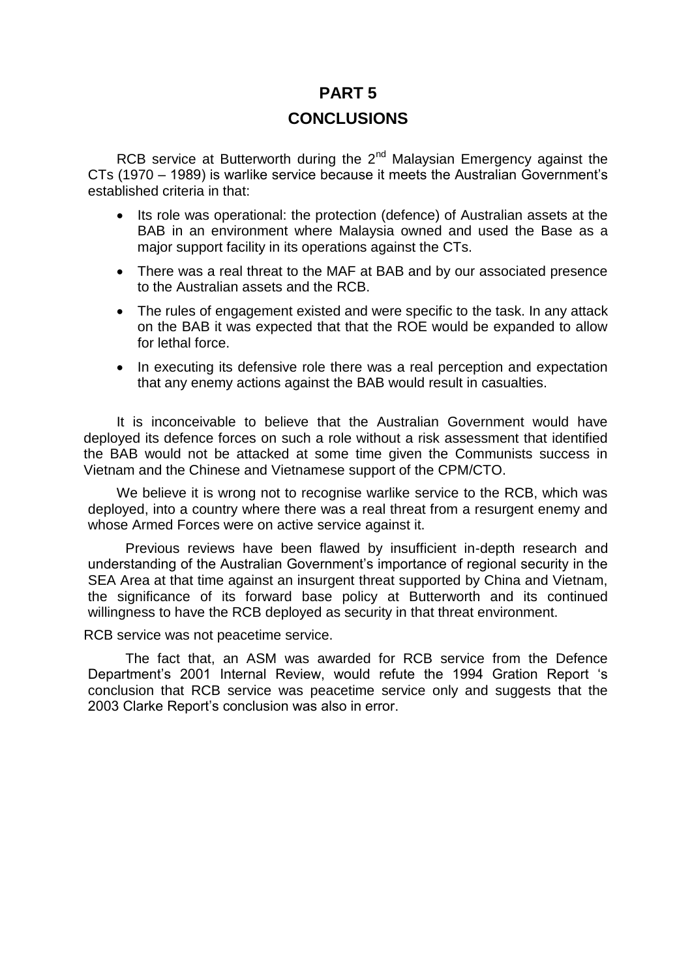## **PART 5**

# **CONCLUSIONS**

RCB service at Butterworth during the  $2<sup>nd</sup>$  Malaysian Emergency against the CTs (1970 – 1989) is warlike service because it meets the Australian Government's established criteria in that:

- Its role was operational: the protection (defence) of Australian assets at the BAB in an environment where Malaysia owned and used the Base as a major support facility in its operations against the CTs.
- There was a real threat to the MAF at BAB and by our associated presence to the Australian assets and the RCB.
- The rules of engagement existed and were specific to the task. In any attack on the BAB it was expected that that the ROE would be expanded to allow for lethal force.
- In executing its defensive role there was a real perception and expectation that any enemy actions against the BAB would result in casualties.

It is inconceivable to believe that the Australian Government would have deployed its defence forces on such a role without a risk assessment that identified the BAB would not be attacked at some time given the Communists success in Vietnam and the Chinese and Vietnamese support of the CPM/CTO.

We believe it is wrong not to recognise warlike service to the RCB, which was deployed, into a country where there was a real threat from a resurgent enemy and whose Armed Forces were on active service against it.

Previous reviews have been flawed by insufficient in-depth research and understanding of the Australian Government's importance of regional security in the SEA Area at that time against an insurgent threat supported by China and Vietnam, the significance of its forward base policy at Butterworth and its continued willingness to have the RCB deployed as security in that threat environment.

RCB service was not peacetime service.

The fact that, an ASM was awarded for RCB service from the Defence Department's 2001 Internal Review, would refute the 1994 Gration Report 's conclusion that RCB service was peacetime service only and suggests that the 2003 Clarke Report's conclusion was also in error.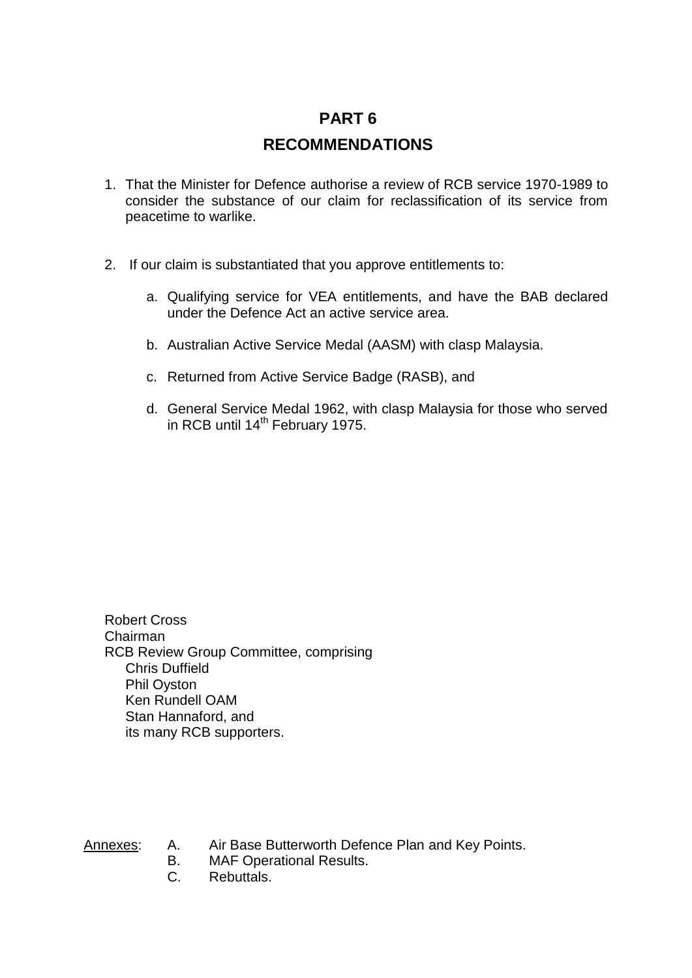# **PART 6**

# **RECOMMENDATIONS**

- 1. That the Minister for Defence authorise a review of RCB service 1970-1989 to consider the substance of our claim for reclassification of its service from peacetime to warlike.
- 2. If our claim is substantiated that you approve entitlements to:
	- a. Qualifying service for VEA entitlements, and have the BAB declared under the Defence Act an active service area.
	- b. Australian Active Service Medal (AASM) with clasp Malaysia.
	- c. Returned from Active Service Badge (RASB), and
	- d. General Service Medal 1962, with clasp Malaysia for those who served in RCB until 14<sup>th</sup> February 1975.

Robert Cross Chairman RCB Review Group Committee, comprising Chris Duffield Phil Oyston Ken Rundell OAM Stan Hannaford, and its many RCB supporters.

- Annexes: A. Air Base Butterworth Defence Plan and Key Points.
	- B. MAF Operational Results.
	- C. Rebuttals.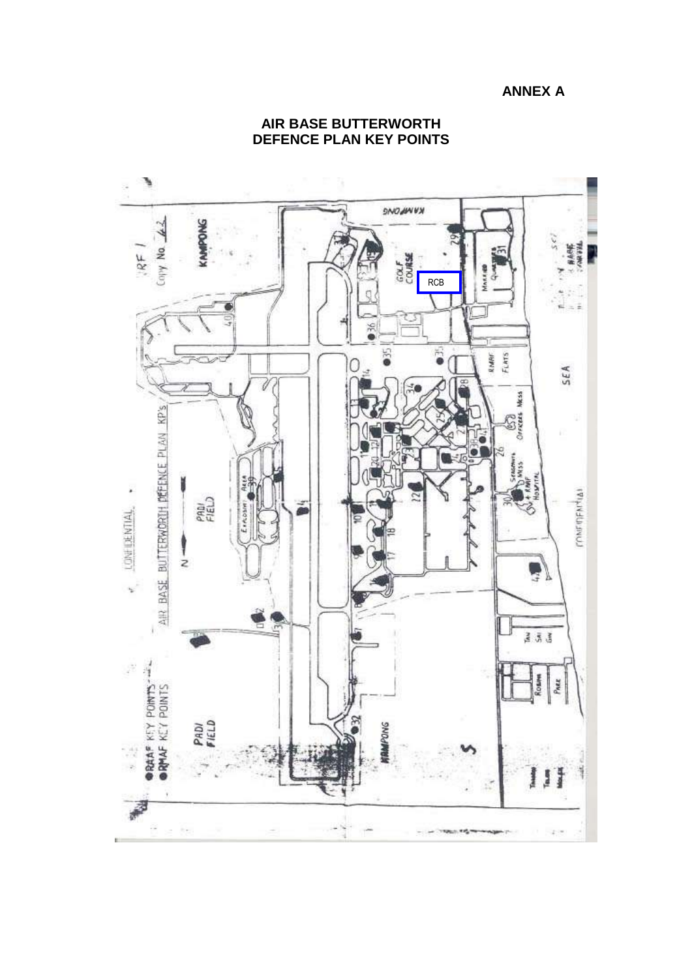**ANNEX A**



# **AIR BASE BUTTERWORTH DEFENCE PLAN KEY POINTS**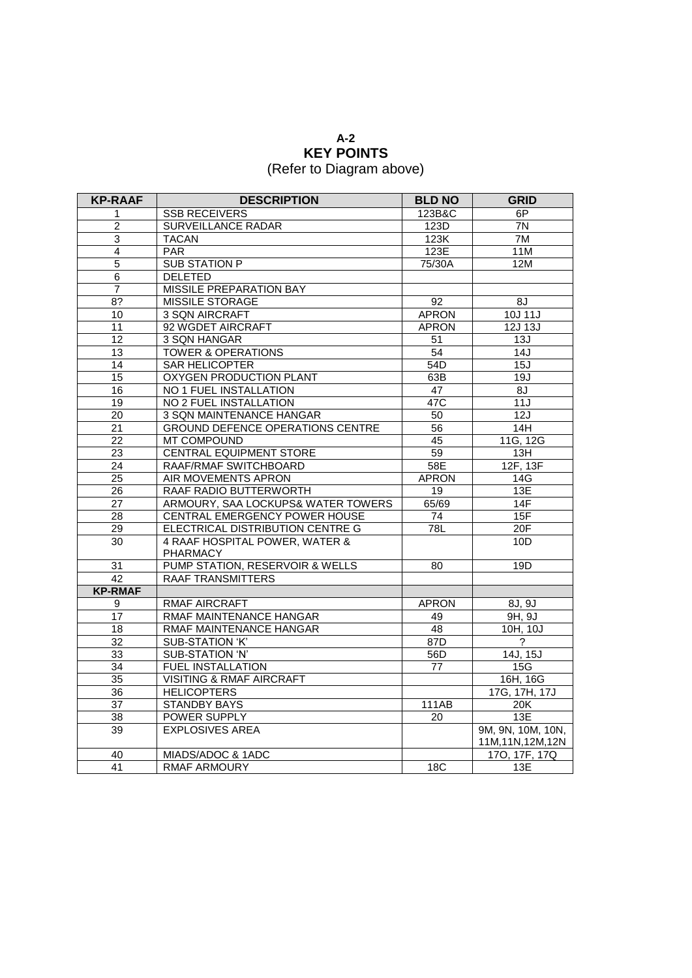# **A-2 KEY POINTS**

|  | (Refer to Diagram above) |  |
|--|--------------------------|--|
|--|--------------------------|--|

| <b>KP-RAAF</b>  | <b>DESCRIPTION</b>                      | <b>BLD NO</b> | <b>GRID</b>        |
|-----------------|-----------------------------------------|---------------|--------------------|
| 1               | <b>SSB RECEIVERS</b>                    | 123B&C        | 6P                 |
| $\overline{2}$  | SURVEILLANCE RADAR                      | 123D          | 7N                 |
| $\overline{3}$  | <b>TACAN</b>                            | 123K          | 7M                 |
| $\overline{4}$  | <b>PAR</b>                              | 123E          | 11M                |
| $\overline{5}$  | <b>SUB STATION P</b>                    | 75/30A        | 12M                |
| $\,6\,$         | <b>DELETED</b>                          |               |                    |
| 7               | <b>MISSILE PREPARATION BAY</b>          |               |                    |
| $\overline{8?}$ | <b>MISSILE STORAGE</b>                  | 92            | 8J                 |
| 10              | 3 SQN AIRCRAFT                          | <b>APRON</b>  | 10J 11J            |
| 11              | 92 WGDET AIRCRAFT                       | <b>APRON</b>  | $12J$ 13J          |
| $\overline{12}$ | 3 SQN HANGAR                            | 51            | 13J                |
| $\overline{13}$ | <b>TOWER &amp; OPERATIONS</b>           | 54            | 14J                |
| 14              | <b>SAR HELICOPTER</b>                   | 54D           | 15J                |
| $\overline{15}$ | <b>OXYGEN PRODUCTION PLANT</b>          | 63B           | 19J                |
| 16              | NO 1 FUEL INSTALLATION                  | 47            | 8J                 |
| $\overline{19}$ | NO 2 FUEL INSTALLATION                  | 47C           | 11J                |
| $\overline{20}$ | 3 SQN MAINTENANCE HANGAR                | 50            | 12J                |
| 21              | <b>GROUND DEFENCE OPERATIONS CENTRE</b> | 56            | 14H                |
| 22              | <b>MT COMPOUND</b>                      | 45            | 11G, 12G           |
| 23              | <b>CENTRAL EQUIPMENT STORE</b>          | 59            | 13H                |
| 24              | RAAF/RMAF SWITCHBOARD                   | 58E           | 12F, 13F           |
| 25              | AIR MOVEMENTS APRON                     | <b>APRON</b>  | 14G                |
| 26              | RAAF RADIO BUTTERWORTH                  | 19            | 13E                |
| $\overline{27}$ | ARMOURY, SAA LOCKUPS& WATER TOWERS      | 65/69         | 14F                |
| $\overline{28}$ | CENTRAL EMERGENCY POWER HOUSE           | 74            | 15F                |
| 29              | ELECTRICAL DISTRIBUTION CENTRE G        | 78L           | 20F                |
| 30              | 4 RAAF HOSPITAL POWER, WATER &          |               | 10D                |
|                 | <b>PHARMACY</b>                         |               |                    |
| 31              | PUMP STATION, RESERVOIR & WELLS         | 80            | 19D                |
| 42              | <b>RAAF TRANSMITTERS</b>                |               |                    |
| <b>KP-RMAF</b>  |                                         |               |                    |
| 9               | <b>RMAF AIRCRAFT</b>                    | <b>APRON</b>  | 8J, 9J             |
| 17              | RMAF MAINTENANCE HANGAR                 | 49            | 9H, 9J             |
| 18              | RMAF MAINTENANCE HANGAR                 | 48            | 10H, 10J           |
| $\overline{32}$ | <b>SUB-STATION 'K'</b>                  | 87D           | $\gamma$           |
| $\overline{33}$ | <b>SUB-STATION 'N'</b>                  | 56D           | 14J, 15J           |
| 34              | <b>FUEL INSTALLATION</b>                | 77            | 15G                |
| $\overline{35}$ | <b>VISITING &amp; RMAF AIRCRAFT</b>     |               | 16H, 16G           |
| $\overline{36}$ | <b>HELICOPTERS</b>                      |               | 17G, 17H, 17J      |
| $\overline{37}$ | <b>STANDBY BAYS</b>                     | 111AB         | 20K                |
| 38              | <b>POWER SUPPLY</b>                     | 20            | 13E                |
| 39              | <b>EXPLOSIVES AREA</b>                  |               | 9M, 9N, 10M, 10N,  |
|                 |                                         |               | 11M, 11N, 12M, 12N |
| 40              | MIADS/ADOC & 1ADC                       |               | 170, 17F, 17Q      |
| 41              | <b>RMAF ARMOURY</b>                     | <b>18C</b>    | 13E                |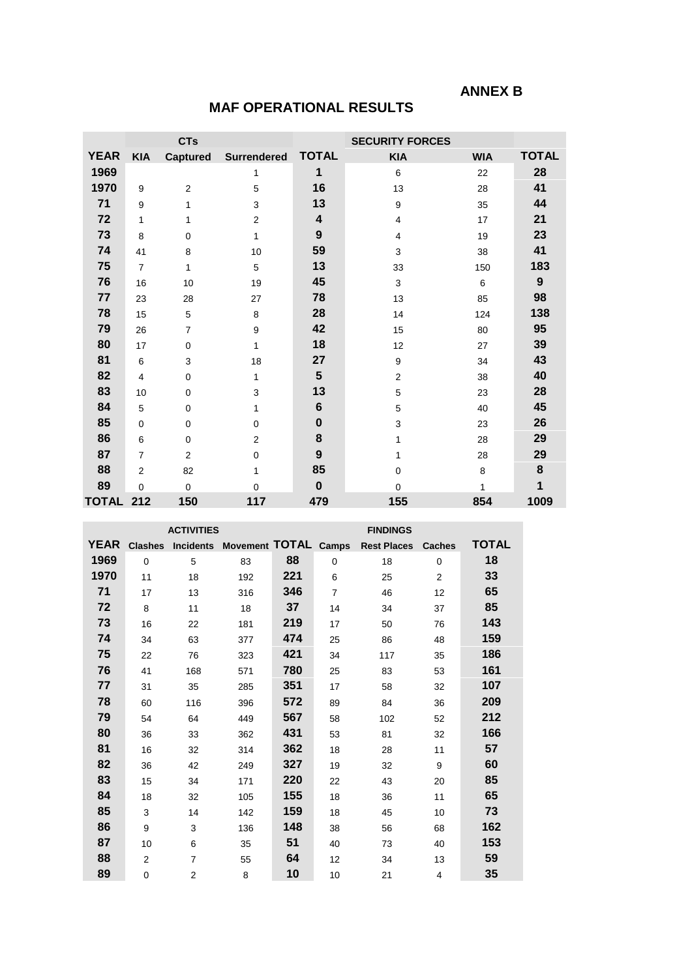## **MAF OPERATIONAL RESULTS**

|             |                | <b>CTs</b>      |                    |                  | <b>SECURITY FORCES</b> |            |                  |
|-------------|----------------|-----------------|--------------------|------------------|------------------------|------------|------------------|
| <b>YEAR</b> | <b>KIA</b>     | <b>Captured</b> | <b>Surrendered</b> | <b>TOTAL</b>     | <b>KIA</b>             | <b>WIA</b> | <b>TOTAL</b>     |
| 1969        |                |                 | $\mathbf{1}$       | 1                | 6                      | 22         | 28               |
| 1970        | 9              | $\overline{2}$  | 5                  | 16               | 13                     | 28         | 41               |
| 71          | 9              | 1               | 3                  | 13               | 9                      | 35         | 44               |
| 72          | 1              | 1               | $\overline{2}$     | 4                | 4                      | 17         | 21               |
| 73          | 8              | 0               | $\mathbf{1}$       | $\boldsymbol{9}$ | $\overline{4}$         | 19         | 23               |
| 74          | 41             | 8               | 10                 | 59               | 3                      | 38         | 41               |
| 75          | $\overline{7}$ | 1               | 5                  | 13               | 33                     | 150        | 183              |
| 76          | 16             | 10              | 19                 | 45               | 3                      | 6          | $\boldsymbol{9}$ |
| 77          | 23             | 28              | 27                 | 78               | 13                     | 85         | 98               |
| 78          | 15             | 5               | 8                  | 28               | 14                     | 124        | 138              |
| 79          | 26             | $\overline{7}$  | 9                  | 42               | 15                     | 80         | 95               |
| 80          | 17             | 0               | $\mathbf{1}$       | 18               | 12                     | 27         | 39               |
| 81          | 6              | 3               | 18                 | 27               | 9                      | 34         | 43               |
| 82          | 4              | 0               | $\mathbf{1}$       | $5\phantom{1}$   | $\overline{2}$         | 38         | 40               |
| 83          | 10             | 0               | 3                  | 13               | 5                      | 23         | 28               |
| 84          | 5              | $\mathbf 0$     | 1                  | $6\phantom{1}6$  | 5                      | 40         | 45               |
| 85          | $\mathbf 0$    | 0               | $\mathbf 0$        | $\bf{0}$         | 3                      | 23         | 26               |
| 86          | 6              | 0               | 2                  | 8                | 1                      | 28         | 29               |
| 87          | $\overline{7}$ | $\overline{2}$  | $\mathbf 0$        | $\boldsymbol{9}$ | 1                      | 28         | 29               |
| 88          | $\overline{2}$ | 82              | $\mathbf{1}$       | 85               | $\Omega$               | 8          | 8                |
| 89          | $\mathbf 0$    | 0               | $\mathbf 0$        | $\bf{0}$         | 0                      | 1          | 1                |
| TOTAL 212   |                | 150             | 117                | 479              | 155                    | 854        | 1009             |

| <b>ACTIVITIES</b> |                |                |                                |     |                | <b>FINDINGS</b>    |               |              |
|-------------------|----------------|----------------|--------------------------------|-----|----------------|--------------------|---------------|--------------|
| <b>YEAR</b>       | <b>Clashes</b> |                | Incidents Movement TOTAL Camps |     |                | <b>Rest Places</b> | <b>Caches</b> | <b>TOTAL</b> |
| 1969              | $\mathbf 0$    | 5              | 83                             | 88  | $\mathbf 0$    | 18                 | $\mathbf 0$   | 18           |
| 1970              | 11             | 18             | 192                            | 221 | 6              | 25                 | 2             | 33           |
| 71                | 17             | 13             | 316                            | 346 | $\overline{7}$ | 46                 | 12            | 65           |
| 72                | 8              | 11             | 18                             | 37  | 14             | 34                 | 37            | 85           |
| 73                | 16             | 22             | 181                            | 219 | 17             | 50                 | 76            | 143          |
| 74                | 34             | 63             | 377                            | 474 | 25             | 86                 | 48            | 159          |
| 75                | 22             | 76             | 323                            | 421 | 34             | 117                | 35            | 186          |
| 76                | 41             | 168            | 571                            | 780 | 25             | 83                 | 53            | 161          |
| 77                | 31             | 35             | 285                            | 351 | 17             | 58                 | 32            | 107          |
| 78                | 60             | 116            | 396                            | 572 | 89             | 84                 | 36            | 209          |
| 79                | 54             | 64             | 449                            | 567 | 58             | 102                | 52            | 212          |
| 80                | 36             | 33             | 362                            | 431 | 53             | 81                 | 32            | 166          |
| 81                | 16             | 32             | 314                            | 362 | 18             | 28                 | 11            | 57           |
| 82                | 36             | 42             | 249                            | 327 | 19             | 32                 | 9             | 60           |
| 83                | 15             | 34             | 171                            | 220 | 22             | 43                 | 20            | 85           |
| 84                | 18             | 32             | 105                            | 155 | 18             | 36                 | 11            | 65           |
| 85                | 3              | 14             | 142                            | 159 | 18             | 45                 | 10            | 73           |
| 86                | 9              | 3              | 136                            | 148 | 38             | 56                 | 68            | 162          |
| 87                | 10             | 6              | 35                             | 51  | 40             | 73                 | 40            | 153          |
| 88                | 2              | $\overline{7}$ | 55                             | 64  | 12             | 34                 | 13            | 59           |
| 89                | 0              | $\overline{2}$ | 8                              | 10  | 10             | 21                 | 4             | 35           |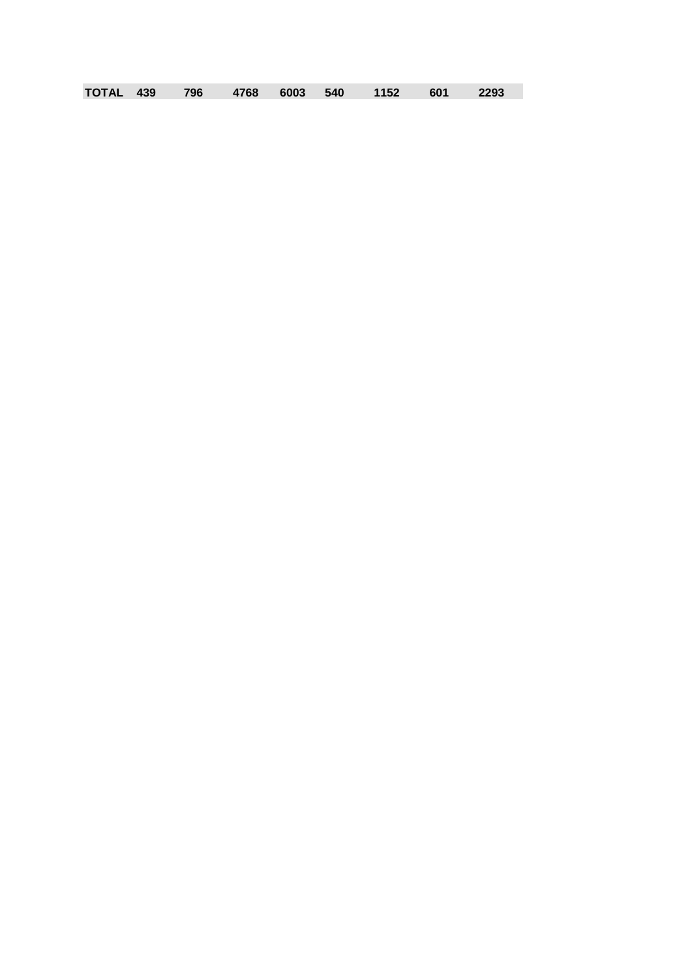|  |  |  | TOTAL 439 796 4768 6003 540 1152 601 2293 |  |
|--|--|--|-------------------------------------------|--|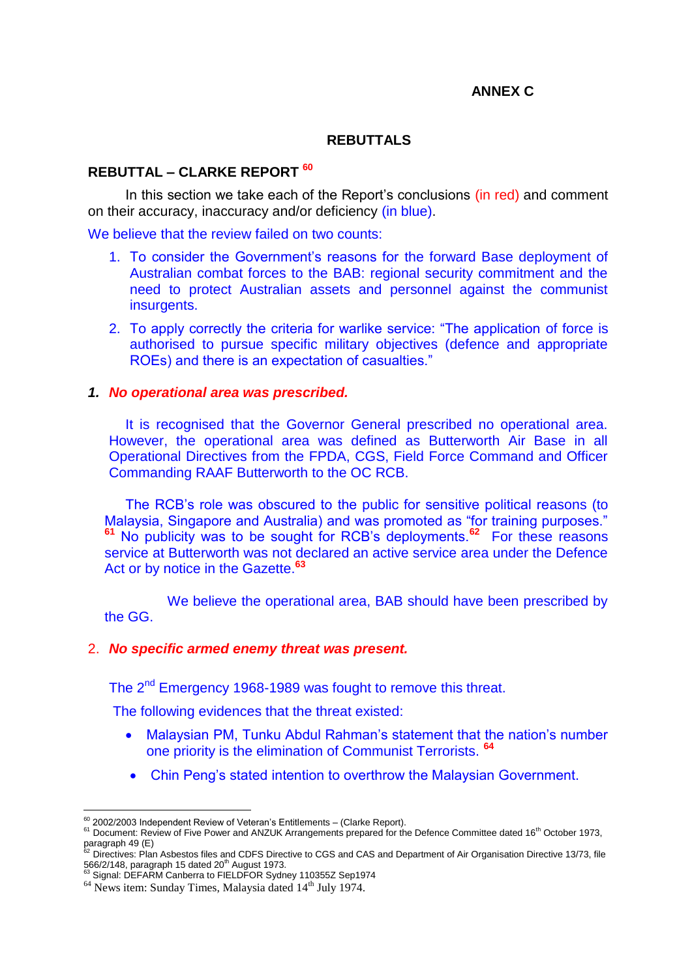### **ANNEX C**

### **REBUTTALS**

## **REBUTTAL – CLARKE REPORT <sup>60</sup>**

In this section we take each of the Report's conclusions (in red) and comment on their accuracy, inaccuracy and/or deficiency (in blue).

We believe that the review failed on two counts:

- 1. To consider the Government's reasons for the forward Base deployment of Australian combat forces to the BAB: regional security commitment and the need to protect Australian assets and personnel against the communist insurgents.
- 2. To apply correctly the criteria for warlike service: "The application of force is authorised to pursue specific military objectives (defence and appropriate ROEs) and there is an expectation of casualties."

#### *1. No operational area was prescribed.*

It is recognised that the Governor General prescribed no operational area. However, the operational area was defined as Butterworth Air Base in all Operational Directives from the FPDA, CGS, Field Force Command and Officer Commanding RAAF Butterworth to the OC RCB.

The RCB's role was obscured to the public for sensitive political reasons (to Malaysia, Singapore and Australia) and was promoted as "for training purposes." **<sup>61</sup>** No publicity was to be sought for RCB's deployments.**<sup>62</sup>** For these reasons service at Butterworth was not declared an active service area under the Defence Act or by notice in the Gazette.**<sup>63</sup>** 

We believe the operational area, BAB should have been prescribed by the GG.

#### 2. *No specific armed enemy threat was present.*

The 2<sup>nd</sup> Emergency 1968-1989 was fought to remove this threat.

The following evidences that the threat existed:

- Malaysian PM, Tunku Abdul Rahman's statement that the nation's number one priority is the elimination of Communist Terrorists. **<sup>64</sup>**
- Chin Peng's stated intention to overthrow the Malaysian Government.

 $60$  2002/2003 Independent Review of Veteran's Entitlements – (Clarke Report).

<sup>&</sup>lt;sup>61</sup> Document: Review of Five Power and ANZUK Arrangements prepared for the Defence Committee dated 16<sup>th</sup> October 1973, paragraph 49 $(E)$ 

<sup>62</sup> Directives: Plan Asbestos files and CDFS Directive to CGS and CAS and Department of Air Organisation Directive 13/73, file 566/2/148, paragraph 15 dated  $20<sup>th</sup>$  August 1973.

<sup>63</sup> Signal: DEFARM Canberra to FIELDFOR Sydney 110355Z Sep1974

 $64$  News item: Sunday Times, Malaysia dated  $14<sup>th</sup>$  July 1974.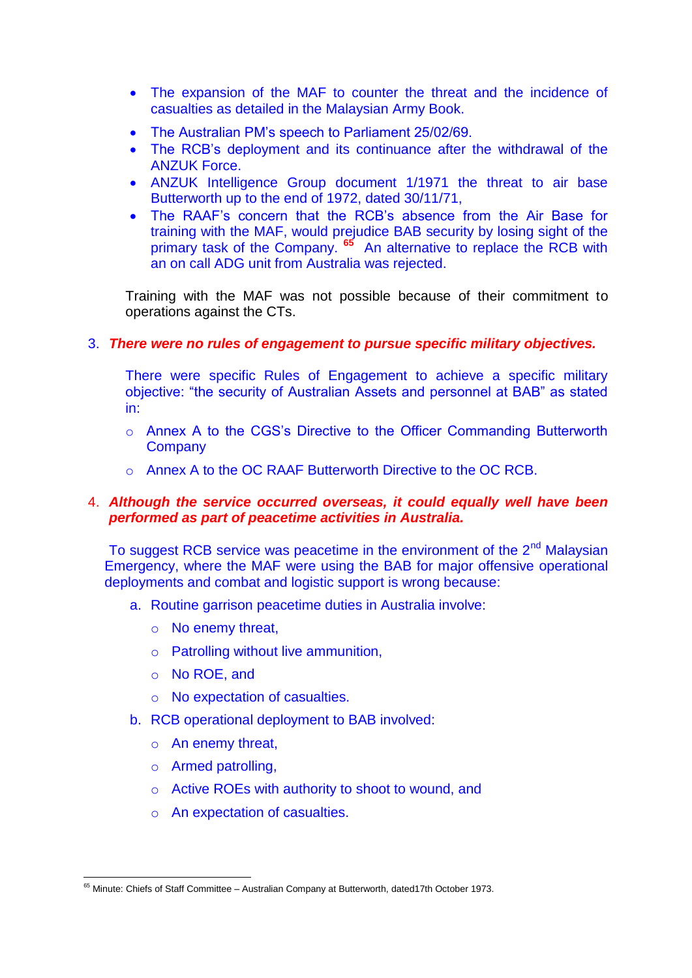- The expansion of the MAF to counter the threat and the incidence of casualties as detailed in the Malaysian Army Book.
- The Australian PM's speech to Parliament 25/02/69.
- The RCB's deployment and its continuance after the withdrawal of the ANZUK Force.
- ANZUK Intelligence Group document 1/1971 the threat to air base Butterworth up to the end of 1972, dated 30/11/71,
- The RAAF's concern that the RCB's absence from the Air Base for training with the MAF, would prejudice BAB security by losing sight of the primary task of the Company. <sup>65</sup> An alternative to replace the RCB with an on call ADG unit from Australia was rejected.

Training with the MAF was not possible because of their commitment to operations against the CTs.

## 3. *There were no rules of engagement to pursue specific military objectives.*

There were specific Rules of Engagement to achieve a specific military objective: "the security of Australian Assets and personnel at BAB" as stated in:

- o Annex A to the CGS's Directive to the Officer Commanding Butterworth **Company**
- o Annex A to the OC RAAF Butterworth Directive to the OC RCB.

### 4. *Although the service occurred overseas, it could equally well have been performed as part of peacetime activities in Australia.*

To suggest RCB service was peacetime in the environment of the  $2<sup>nd</sup>$  Malaysian Emergency, where the MAF were using the BAB for major offensive operational deployments and combat and logistic support is wrong because:

- a. Routine garrison peacetime duties in Australia involve:
	- o No enemy threat,
	- o Patrolling without live ammunition,
	- o No ROE, and
	- o No expectation of casualties.
- b. RCB operational deployment to BAB involved:
	- o An enemy threat,
	- o Armed patrolling,
	- o Active ROEs with authority to shoot to wound, and
	- o An expectation of casualties.

<sup>1</sup> <sup>65</sup> Minute: Chiefs of Staff Committee – Australian Company at Butterworth, dated17th October 1973.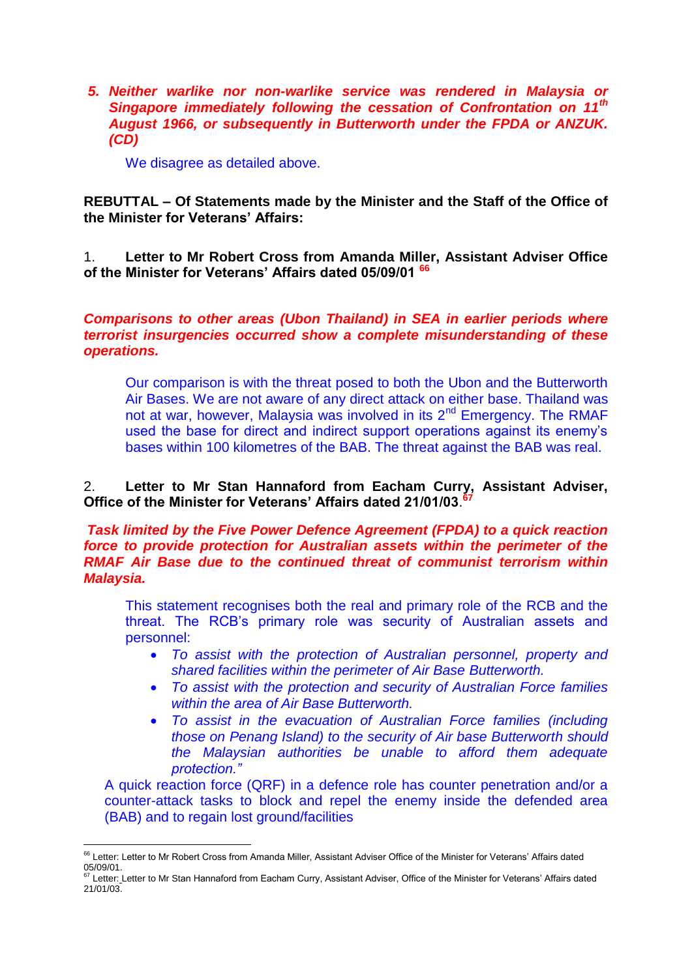*5. Neither warlike nor non-warlike service was rendered in Malaysia or Singapore immediately following the cessation of Confrontation on 11th August 1966, or subsequently in Butterworth under the FPDA or ANZUK. (CD)*

We disagree as detailed above.

**REBUTTAL – Of Statements made by the Minister and the Staff of the Office of the Minister for Veterans' Affairs:**

1. **Letter to Mr Robert Cross from Amanda Miller, Assistant Adviser Office of the Minister for Veterans' Affairs dated 05/09/01 <sup>66</sup>**

### *Comparisons to other areas (Ubon Thailand) in SEA in earlier periods where terrorist insurgencies occurred show a complete misunderstanding of these operations.*

Our comparison is with the threat posed to both the Ubon and the Butterworth Air Bases. We are not aware of any direct attack on either base. Thailand was not at war, however, Malaysia was involved in its 2<sup>nd</sup> Emergency. The RMAF used the base for direct and indirect support operations against its enemy's bases within 100 kilometres of the BAB. The threat against the BAB was real.

### 2. **Letter to Mr Stan Hannaford from Eacham Curry, Assistant Adviser, Office of the Minister for Veterans' Affairs dated 21/01/03**. **67**

*Task limited by the Five Power Defence Agreement (FPDA) to a quick reaction force to provide protection for Australian assets within the perimeter of the RMAF Air Base due to the continued threat of communist terrorism within Malaysia.* 

This statement recognises both the real and primary role of the RCB and the threat. The RCB's primary role was security of Australian assets and personnel:

- *To assist with the protection of Australian personnel, property and shared facilities within the perimeter of Air Base Butterworth.*
- *To assist with the protection and security of Australian Force families within the area of Air Base Butterworth.*
- *To assist in the evacuation of Australian Force families (including those on Penang Island) to the security of Air base Butterworth should the Malaysian authorities be unable to afford them adequate protection."*

A quick reaction force (QRF) in a defence role has counter penetration and/or a counter-attack tasks to block and repel the enemy inside the defended area (BAB) and to regain lost ground/facilities

<u>.</u>

<sup>&</sup>lt;sup>66</sup> Letter: Letter to Mr Robert Cross from Amanda Miller, Assistant Adviser Office of the Minister for Veterans' Affairs dated 05/09/01.

<sup>67</sup> Letter: Letter to Mr Stan Hannaford from Eacham Curry, Assistant Adviser, Office of the Minister for Veterans' Affairs dated 21/01/03.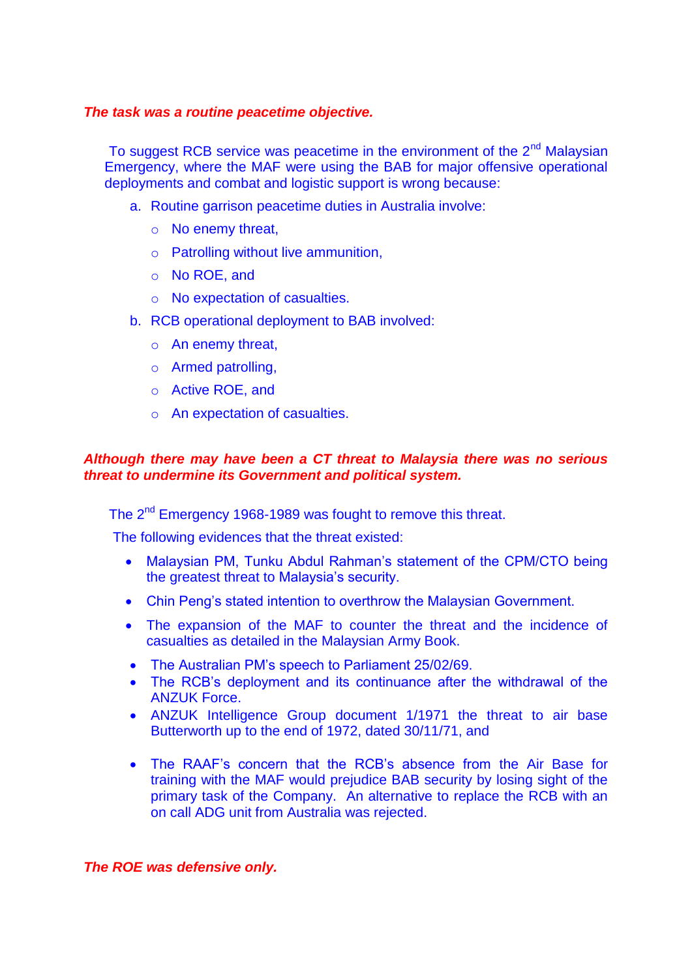### *The task was a routine peacetime objective.*

To suggest RCB service was peacetime in the environment of the  $2<sup>nd</sup>$  Malaysian Emergency, where the MAF were using the BAB for major offensive operational deployments and combat and logistic support is wrong because:

- a. Routine garrison peacetime duties in Australia involve:
	- o No enemy threat,
	- o Patrolling without live ammunition,
	- o No ROE, and
	- o No expectation of casualties.
- b. RCB operational deployment to BAB involved:
	- o An enemy threat,
	- o Armed patrolling,
	- o Active ROE, and
	- o An expectation of casualties.

### *Although there may have been a CT threat to Malaysia there was no serious threat to undermine its Government and political system.*

The 2<sup>nd</sup> Emergency 1968-1989 was fought to remove this threat.

The following evidences that the threat existed:

- Malaysian PM, Tunku Abdul Rahman's statement of the CPM/CTO being the greatest threat to Malaysia's security.
- Chin Peng's stated intention to overthrow the Malaysian Government.
- The expansion of the MAF to counter the threat and the incidence of casualties as detailed in the Malaysian Army Book.
- The Australian PM's speech to Parliament 25/02/69.
- The RCB's deployment and its continuance after the withdrawal of the ANZUK Force.
- ANZUK Intelligence Group document 1/1971 the threat to air base Butterworth up to the end of 1972, dated 30/11/71, and
- The RAAF's concern that the RCB's absence from the Air Base for training with the MAF would prejudice BAB security by losing sight of the primary task of the Company. An alternative to replace the RCB with an on call ADG unit from Australia was rejected.

#### *The ROE was defensive only.*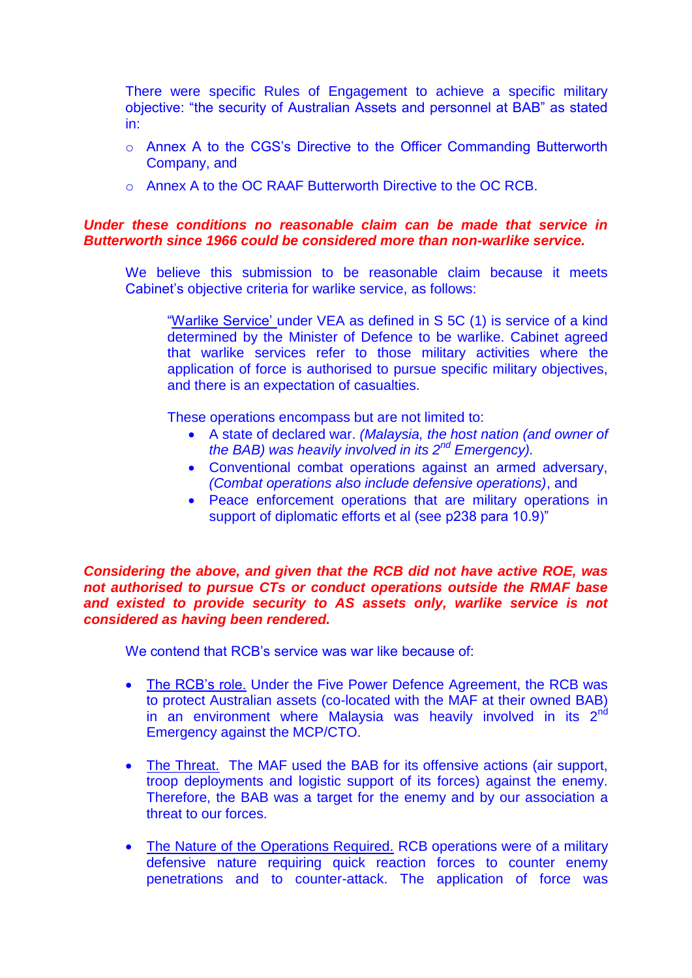There were specific Rules of Engagement to achieve a specific military objective: "the security of Australian Assets and personnel at BAB" as stated in:

- o Annex A to the CGS's Directive to the Officer Commanding Butterworth Company, and
- o Annex A to the OC RAAF Butterworth Directive to the OC RCB.

### *Under these conditions no reasonable claim can be made that service in Butterworth since 1966 could be considered more than non-warlike service.*

We believe this submission to be reasonable claim because it meets Cabinet's objective criteria for warlike service, as follows:

"Warlike Service' under VEA as defined in S 5C (1) is service of a kind determined by the Minister of Defence to be warlike. Cabinet agreed that warlike services refer to those military activities where the application of force is authorised to pursue specific military objectives, and there is an expectation of casualties.

These operations encompass but are not limited to:

- A state of declared war. *(Malaysia, the host nation (and owner of the BAB) was heavily involved in its 2nd Emergency).*
- Conventional combat operations against an armed adversary, *(Combat operations also include defensive operations)*, and
- Peace enforcement operations that are military operations in support of diplomatic efforts et al (see p238 para 10.9)"

*Considering the above, and given that the RCB did not have active ROE, was not authorised to pursue CTs or conduct operations outside the RMAF base and existed to provide security to AS assets only, warlike service is not considered as having been rendered.* 

We contend that RCB's service was war like because of:

- The RCB's role. Under the Five Power Defence Agreement, the RCB was to protect Australian assets (co-located with the MAF at their owned BAB) in an environment where Malaysia was heavily involved in its  $2<sup>nd</sup>$ Emergency against the MCP/CTO.
- The Threat. The MAF used the BAB for its offensive actions (air support, troop deployments and logistic support of its forces) against the enemy. Therefore, the BAB was a target for the enemy and by our association a threat to our forces.
- The Nature of the Operations Required. RCB operations were of a military defensive nature requiring quick reaction forces to counter enemy penetrations and to counter-attack. The application of force was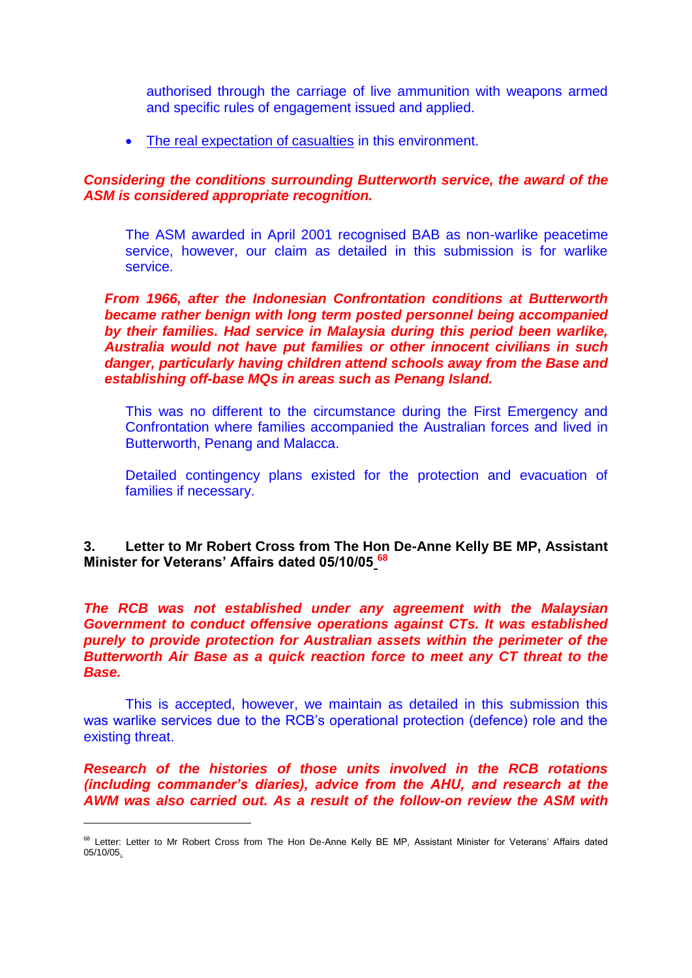authorised through the carriage of live ammunition with weapons armed and specific rules of engagement issued and applied.

• The real expectation of casualties in this environment.

### *Considering the conditions surrounding Butterworth service, the award of the ASM is considered appropriate recognition.*

The ASM awarded in April 2001 recognised BAB as non-warlike peacetime service, however, our claim as detailed in this submission is for warlike service.

*From 1966, after the Indonesian Confrontation conditions at Butterworth became rather benign with long term posted personnel being accompanied by their families. Had service in Malaysia during this period been warlike, Australia would not have put families or other innocent civilians in such danger, particularly having children attend schools away from the Base and establishing off-base MQs in areas such as Penang Island.* 

This was no different to the circumstance during the First Emergency and Confrontation where families accompanied the Australian forces and lived in Butterworth, Penang and Malacca.

Detailed contingency plans existed for the protection and evacuation of families if necessary.

### **3. Letter to Mr Robert Cross from The Hon De-Anne Kelly BE MP, Assistant Minister for Veterans' Affairs dated 05/10/05 <sup>68</sup>**

### *The RCB was not established under any agreement with the Malaysian Government to conduct offensive operations against CTs. It was established purely to provide protection for Australian assets within the perimeter of the Butterworth Air Base as a quick reaction force to meet any CT threat to the Base.*

This is accepted, however, we maintain as detailed in this submission this was warlike services due to the RCB's operational protection (defence) role and the existing threat.

*Research of the histories of those units involved in the RCB rotations (including commander's diaries), advice from the AHU, and research at the AWM was also carried out. As a result of the follow-on review the ASM with* 

<sup>&</sup>lt;sup>68</sup> Letter: Letter to Mr Robert Cross from The Hon De-Anne Kelly BE MP, Assistant Minister for Veterans' Affairs dated 05/10/05.